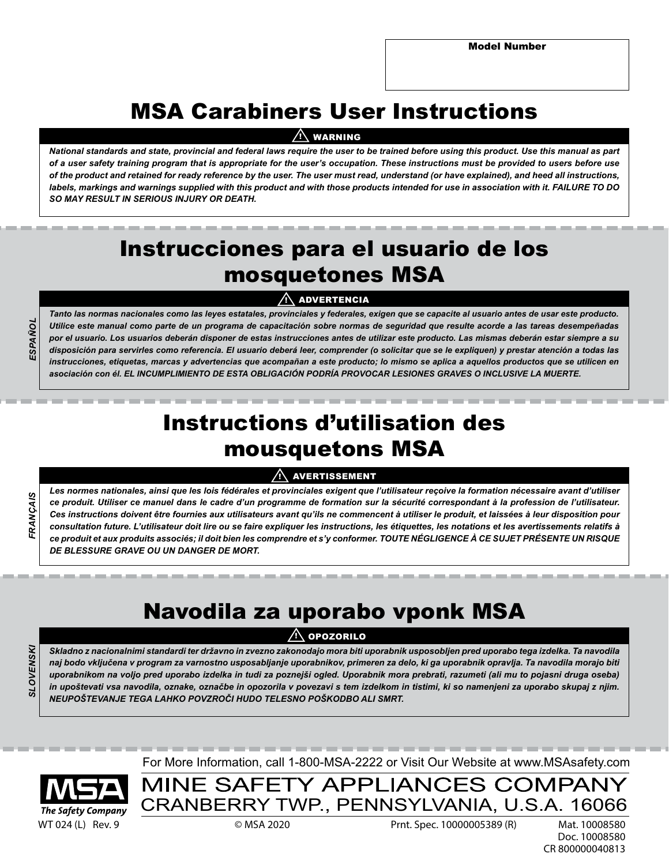# MSA Carabiners User Instructions

# <u>!\</u> WARNING

*National standards and state, provincial and federal laws require the user to be trained before using this product. Use this manual as part of a user safety training program that is appropriate for the user's occupation. These instructions must be provided to users before use of the product and retained for ready reference by the user. The user must read, understand (or have explained), and heed all instructions, labels, markings and warnings supplied with this product and with those products intended for use in association with it. FAILURE TO DO SO MAY RESULT IN SERIOUS INJURY OR DEATH.* 

# Instrucciones para el usuario de los mosquetones MSA

# !\ ADVERTENCIA

*Tanto las normas nacionales como las leyes estatales, provinciales y federales, exigen que se capacite al usuario antes de usar este producto. Utilice este manual como parte de un programa de capacitación sobre normas de seguridad que resulte acorde a las tareas desempeñadas por el usuario. Los usuarios deberán disponer de estas instrucciones antes de utilizar este producto. Las mismas deberán estar siempre a su disposición para servirles como referencia. El usuario deberá leer, comprender (o solicitar que se le expliquen) y prestar atención a todas las instrucciones, etiquetas, marcas y advertencias que acompañan a este producto; lo mismo se aplica a aquellos productos que se utilicen en asociación con él. EL INCUMPLIMIENTO DE ESTA OBLIGACIÓN PODRÍA PROVOCAR LESIONES GRAVES O INCLUSIVE LA MUERTE.*

# Instructions d'utilisation des mousquetons MSA

# !\ AVERTISSEMENT

*Les normes nationales, ainsi que les lois fédérales et provinciales exigent que l'utilisateur reçoive la formation nécessaire avant d'utiliser ce produit. Utiliser ce manuel dans le cadre d'un programme de formation sur la sécurité correspondant à la profession de l'utilisateur. Ces instructions doivent être fournies aux utilisateurs avant qu'ils ne commencent à utiliser le produit, et laissées à leur disposition pour consultation future. L'utilisateur doit lire ou se faire expliquer les instructions, les étiquettes, les notations et les avertissements relatifs à ce produit et aux produits associés; il doit bien les comprendre et s'y conformer. TOUTE NÉGLIGENCE À CE SUJET PRÉSENTE UN RISQUE DE BLESSURE GRAVE OU UN DANGER DE MORT.*

# Navodila za uporabo vponk MSA

# <u>!\</u> OPOZORILO

*Skladno z nacionalnimi standardi ter državno in zvezno zakonodajo mora biti uporabnik usposobljen pred uporabo tega izdelka. Ta navodila naj bodo vključena v program za varnostno usposabljanje uporabnikov, primeren za delo, ki ga uporabnik opravlja. Ta navodila morajo biti uporabnikom na voljo pred uporabo izdelka in tudi za poznejši ogled. Uporabnik mora prebrati, razumeti (ali mu to pojasni druga oseba) in upoštevati vsa navodila, oznake, označbe in opozorila v povezavi s tem izdelkom in tistimi, ki so namenjeni za uporabo skupaj z njim. NEUPOŠTEVANJE TEGA LAHKO POVZROČI HUDO TELESNO POŠKODBO ALI SMRT.*

*SLOVENSKI*OVENSK

*FRANÇAIS*

**RANCAIS** 

*ESPAÑOL*

ESPAÑO

The Safety Company

For More Information, call 1-800-MSA-2222 or Visit Our Website at www.MSAsafety.com

MINE SAFETY APPLIANCES COMPANY CRANBERRY TWP., PENNSYLVANIA, U.S.A. 16066

WT 024 (L) Rev. 9 © MSA 2020 Prnt. Spec. 10000005389 (R) Mat. 10008580

Doc. 10008580 CR 800000040813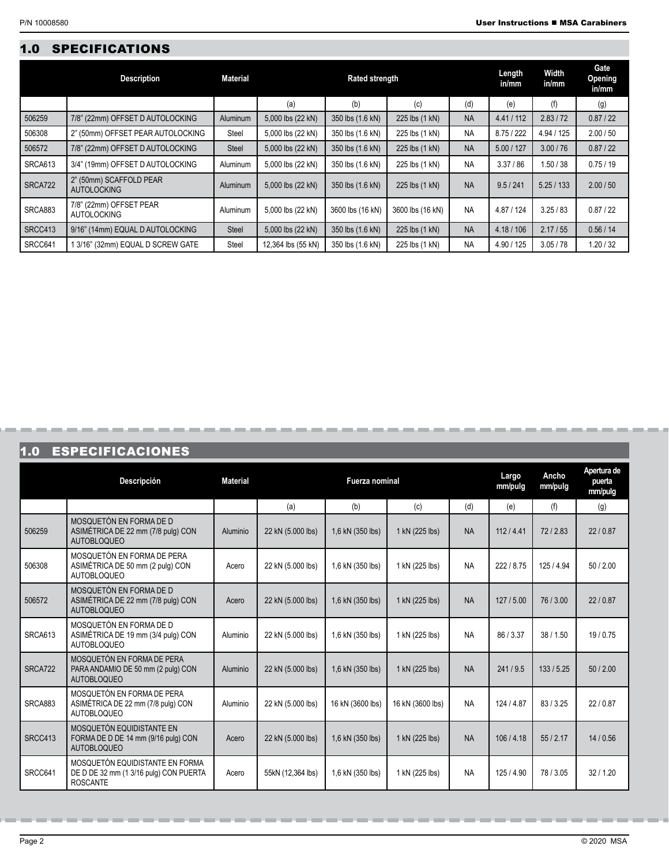# 1.0 SPECIFICATIONS

|         | <b>Description</b>                            | <b>Material</b> | <b>Rated strength</b> |                  |                  |           |            | Width<br>in/mm | Gate<br>Opening<br>in/mm |
|---------|-----------------------------------------------|-----------------|-----------------------|------------------|------------------|-----------|------------|----------------|--------------------------|
|         |                                               |                 | (a)                   | (b)              | (c)              | (d)       | (e)        | (f)            | (g)                      |
| 506259  | 7/8" (22mm) OFFSET D AUTOLOCKING              | <b>Aluminum</b> | 5,000 lbs (22 kN)     | 350 lbs (1.6 kN) | 225 lbs (1 kN)   | <b>NA</b> | 4.41 / 112 | 2.83 / 72      | 0.87 / 22                |
| 506308  | 2" (50mm) OFFSET PEAR AUTOLOCKING             | Steel           | 5,000 lbs (22 kN)     | 350 lbs (1.6 kN) | 225 lbs (1 kN)   | <b>NA</b> | 8.75 / 222 | 4.94 / 125     | 2.00 / 50                |
| 506572  | 7/8" (22mm) OFFSET D AUTOLOCKING              | <b>Steel</b>    | 5,000 lbs (22 kN)     | 350 lbs (1.6 kN) | 225 lbs (1 kN)   | <b>NA</b> | 5.00 / 127 | 3.00 / 76      | 0.87 / 22                |
| SRCA613 | 3/4" (19mm) OFFSET D AUTOLOCKING              | Aluminum        | 5,000 lbs (22 kN)     | 350 lbs (1.6 kN) | 225 lbs (1 kN)   | <b>NA</b> | 3.37/86    | .50/38         | 0.75/19                  |
| SRCA722 | 2" (50mm) SCAFFOLD PEAR<br><b>AUTOLOCKING</b> | <b>Aluminum</b> | 5,000 lbs (22 kN)     | 350 lbs (1.6 kN) | 225 lbs (1 kN)   | <b>NA</b> | 9.5/241    | 5.25/133       | 2.00 / 50                |
| SRCA883 | 7/8" (22mm) OFFSET PEAR<br><b>AUTOLOCKING</b> | <b>Aluminum</b> | 5,000 lbs (22 kN)     | 3600 lbs (16 kN) | 3600 lbs (16 kN) | <b>NA</b> | 4.87 / 124 | 3.25/83        | 0.87 / 22                |
| SRCC413 | 9/16" (14mm) EQUAL D AUTOLOCKING              | <b>Steel</b>    | 5,000 lbs (22 kN)     | 350 lbs (1.6 kN) | 225 lbs (1 kN)   | <b>NA</b> | 4.18/106   | 2.17/55        | 0.56/14                  |
| SRCC641 | 1 3/16" (32mm) EQUAL D SCREW GATE             | Steel           | 12,364 lbs (55 kN)    | 350 lbs (1.6 kN) | 225 lbs (1 kN)   | <b>NA</b> | 4.90 / 125 | 3.05/78        | 1.20 / 32                |

# 1.0 ESPECIFICACIONES

**COL** 

-----

|         | Descripción                                                                                  | <b>Material</b> | Fuerza nominal    |                  |                  | Largo<br>mm/pulg | Ancho<br>mm/pulg | Apertura de<br>puerta<br>mm/pulg |           |
|---------|----------------------------------------------------------------------------------------------|-----------------|-------------------|------------------|------------------|------------------|------------------|----------------------------------|-----------|
|         |                                                                                              |                 | (a)               | (b)              | (c)              | (d)              | (e)              | (f)                              | (g)       |
| 506259  | MOSQUETÓN EN FORMA DE D<br>ASIMÉTRICA DE 22 mm (7/8 pulg) CON<br><b>AUTOBLOQUEO</b>          | Aluminio        | 22 kN (5.000 lbs) | 1.6 kN (350 lbs) | 1 kN (225 lbs)   | <b>NA</b>        | 112/4.41         | 72/2.83                          | 22/0.87   |
| 506308  | MOSQUETÓN EN FORMA DE PERA<br>ASIMÉTRICA DE 50 mm (2 pulg) CON<br><b>AUTOBLOQUEO</b>         | Acero           | 22 kN (5.000 lbs) | 1,6 kN (350 lbs) | 1 kN (225 lbs)   | <b>NA</b>        | 222 / 8.75       | 125/4.94                         | 50/2.00   |
| 506572  | MOSQUETÓN EN FORMA DE D<br>ASIMÉTRICA DE 22 mm (7/8 pulg) CON<br><b>AUTOBLOQUEO</b>          | Acero           | 22 kN (5.000 lbs) | 1,6 kN (350 lbs) | 1 kN (225 lbs)   | <b>NA</b>        | 127/5.00         | 76/3.00                          | 22/0.87   |
| SRCA613 | MOSQUETÓN EN FORMA DE D<br>ASIMÉTRICA DE 19 mm (3/4 pulg) CON<br><b>AUTOBLOQUEO</b>          | Aluminio        | 22 kN (5.000 lbs) | 1,6 kN (350 lbs) | 1 kN (225 lbs)   | <b>NA</b>        | 86/3.37          | 38/1.50                          | 19/0.75   |
| SRCA722 | MOSQUETÓN EN FORMA DE PERA<br>PARA ANDAMIO DE 50 mm (2 pulg) CON<br><b>AUTOBLOQUEO</b>       | Aluminio        | 22 kN (5.000 lbs) | 1,6 kN (350 lbs) | 1 kN (225 lbs)   | <b>NA</b>        | 241/9.5          | 133/5.25                         | 50/2.00   |
| SRCA883 | MOSQUETÓN EN FORMA DE PERA<br>ASIMÉTRICA DE 22 mm (7/8 pulg) CON<br><b>AUTOBLOQUEO</b>       | Aluminio        | 22 kN (5.000 lbs) | 16 kN (3600 lbs) | 16 kN (3600 lbs) | <b>NA</b>        | 124 / 4.87       | 83/3.25                          | 22/0.87   |
| SRCC413 | MOSQUETÓN EQUIDISTANTE EN<br>FORMA DE D DE 14 mm (9/16 pulg) CON<br><b>AUTOBLOQUEO</b>       | Acero           | 22 kN (5.000 lbs) | 1,6 kN (350 lbs) | 1 kN (225 lbs)   | <b>NA</b>        | 106/4.18         | 55/2.17                          | 14 / 0.56 |
| SRCC641 | MOSQUETÓN EQUIDISTANTE EN FORMA<br>DE D DE 32 mm (1 3/16 pulg) CON PUERTA<br><b>ROSCANTE</b> | Acero           | 55kN (12,364 lbs) | 1,6 kN (350 lbs) | 1 kN (225 lbs)   | <b>NA</b>        | 125 / 4.90       | 78/3.05                          | 32/1.20   |

------------------------------

--------------

an a an a an a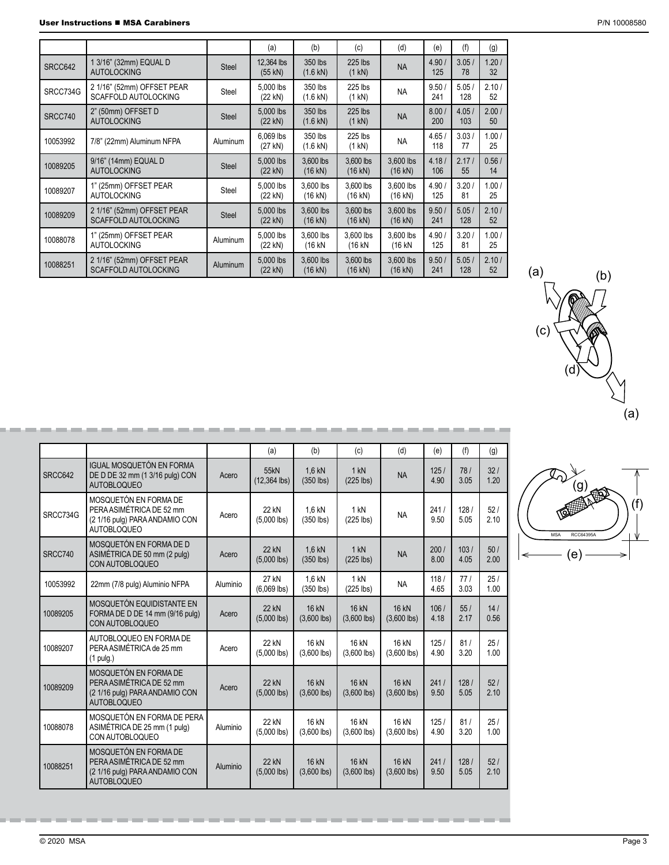|          |                                                           |                 | (a)                     | (b)                            | (c)                            | (d)                            | (e)          | (f)          | (g)         |
|----------|-----------------------------------------------------------|-----------------|-------------------------|--------------------------------|--------------------------------|--------------------------------|--------------|--------------|-------------|
| SRCC642  | 1 3/16" (32mm) EQUAL D<br><b>AUTOLOCKING</b>              | Steel           | 12,364 lbs<br>$(55$ kN) | 350 lbs<br>$(1.6 \text{ kN})$  | 225 lbs<br>$(1 \text{ kN})$    | <b>NA</b>                      | 4.90/<br>125 | 3.05/<br>78  | 1.20/<br>32 |
| SRCC734G | 2 1/16" (52mm) OFFSET PEAR<br><b>SCAFFOLD AUTOLOCKING</b> | Steel           | 5,000 lbs<br>(22 kN)    | 350 lbs<br>(1.6 kN)            | 225 lbs<br>$(1 \text{ kN})$    | <b>NA</b>                      | 9.50/<br>241 | 5.05/<br>128 | 2.10/<br>52 |
| SRCC740  | 2" (50mm) OFFSET D<br><b>AUTOLOCKING</b>                  | <b>Steel</b>    | 5,000 lbs<br>(22 kN)    | 350 lbs<br>$(1.6 \text{ kN})$  | 225 lbs<br>$(1 \text{ kN})$    | <b>NA</b>                      | 8.00/<br>200 | 4.05/<br>103 | 2.00/<br>50 |
| 10053992 | 7/8" (22mm) Aluminum NFPA                                 | <b>Aluminum</b> | 6,069 lbs<br>(27 kN)    | 350 lbs<br>(1.6 kN)            | 225 lbs<br>(1 kN)              | <b>NA</b>                      | 4.65/<br>118 | 3.03/<br>77  | 1.00/<br>25 |
| 10089205 | 9/16" (14mm) EQUAL D<br><b>AUTOLOCKING</b>                | <b>Steel</b>    | 5.000 lbs<br>(22 kN)    | 3.600 lbs<br>$(16 \text{ kN})$ | 3.600 lbs<br>$(16$ kN)         | 3.600 lbs<br>$(16 \text{ kN})$ | 4.18/<br>106 | 2.17/<br>55  | 0.56/<br>14 |
| 10089207 | 1" (25mm) OFFSET PEAR<br><b>AUTOLOCKING</b>               | Steel           | 5,000 lbs<br>(22 kN)    | 3,600 lbs<br>(16 kN)           | 3,600 lbs<br>$(16$ kN)         | 3,600 lbs<br>$(16$ kN)         | 4.90/<br>125 | 3.20/<br>81  | 1.00/<br>25 |
| 10089209 | 2 1/16" (52mm) OFFSET PEAR<br><b>SCAFFOLD AUTOLOCKING</b> | <b>Steel</b>    | 5.000 lbs<br>(22 kN)    | 3.600 lbs<br>(16 kN)           | 3.600 lbs<br>$(16$ kN)         | 3.600 lbs<br>$(16$ kN)         | 9.50/<br>241 | 5.05/<br>128 | 2.10/<br>52 |
| 10088078 | 1" (25mm) OFFSET PEAR<br><b>AUTOLOCKING</b>               | Aluminum        | 5.000 lbs<br>(22 kN)    | 3.600 lbs<br>(16 kN            | 3.600 lbs<br>(16 kN            | 3.600 lbs<br>(16 kN            | 4.90/<br>125 | 3.20/<br>81  | 1.00/<br>25 |
| 10088251 | 2 1/16" (52mm) OFFSET PEAR<br><b>SCAFFOLD AUTOLOCKING</b> | Aluminum        | 5,000 lbs<br>(22 kN)    | 3,600 lbs<br>$(16 \text{ kN})$ | 3,600 lbs<br>$(16 \text{ kN})$ | 3,600 lbs<br>$(16 \text{ kN})$ | 9.50/<br>241 | 5.05/<br>128 | 2.10/<br>52 |

|          |                                                                                                           |          | (a)                           | (b)                           | (c)                           | (d)                           | (e)          | (f)          | (g)         |
|----------|-----------------------------------------------------------------------------------------------------------|----------|-------------------------------|-------------------------------|-------------------------------|-------------------------------|--------------|--------------|-------------|
| SRCC642  | <b>IGUAL MOSQUETÓN EN FORMA</b><br>DE D DE 32 mm (1 3/16 pulg) CON<br><b>AUTOBLOQUEO</b>                  | Acero    | 55kN<br>$(12, 364$ lbs)       | 1,6 kN<br>$(350$ lbs)         | 1 kN<br>$(225$ lbs)           | <b>NA</b>                     | 125/<br>4.90 | 78/<br>3.05  | 32/<br>1.20 |
| SRCC734G | MOSQUETÓN EN FORMA DE<br>PERA ASIMÉTRICA DE 52 mm<br>(2 1/16 pulg) PARA ANDAMIO CON<br><b>AUTOBLOQUEO</b> | Acero    | 22 kN<br>$(5.000$ lbs)        | 1,6 kN<br>$(350$ lbs)         | $1$ kN<br>$(225$ lbs)         | <b>NA</b>                     | 241/<br>9.50 | 128/<br>5.05 | 52/<br>2.10 |
| SRCC740  | MOSQUETÓN EN FORMA DE D<br>ASIMÉTRICA DE 50 mm (2 pulg)<br>CON AUTOBLOQUEO                                | Acero    | <b>22 kN</b><br>$(5,000$ lbs) | 1.6 kN<br>$(350$ lbs)         | 1 kN<br>$(225$ lbs)           | <b>NA</b>                     | 200/<br>8.00 | 103/<br>4.05 | 50/<br>2.00 |
| 10053992 | 22mm (7/8 pulg) Aluminio NFPA                                                                             | Aluminio | 27 kN<br>$(6,069$ lbs)        | $1.6$ kN<br>$(350$ lbs)       | 1 kN<br>$(225$ lbs)           | <b>NA</b>                     | 118/<br>4.65 | 77/<br>3.03  | 25/<br>1.00 |
| 10089205 | MOSQUETÓN EQUIDISTANTE EN<br>FORMA DE D DE 14 mm (9/16 pulg)<br>CON AUTOBLOQUEO                           | Acero    | <b>22 kN</b><br>$(5,000$ lbs) | <b>16 kN</b><br>$(3,600$ lbs) | <b>16 kN</b><br>$(3,600$ lbs) | <b>16 kN</b><br>$(3,600$ lbs) | 106/<br>4.18 | 55/<br>2.17  | 14/<br>0.56 |
| 10089207 | AUTOBLOQUEO EN FORMA DE<br>PERA ASIMÉTRICA de 25 mm<br>$(1$ pulg.)                                        | Acero    | 22 kN<br>$(5,000$ lbs)        | 16 kN<br>$(3,600$ lbs)        | 16 kN<br>$(3,600$ lbs)        | 16 kN<br>$(3,600$ lbs)        | 125/<br>4.90 | 81/<br>3.20  | 25/<br>1.00 |
| 10089209 | MOSQUETÓN EN FORMA DE<br>PERA ASIMÉTRICA DE 52 mm<br>(2 1/16 pulg) PARA ANDAMIO CON<br><b>AUTOBLOQUEO</b> | Acero    | <b>22 kN</b><br>$(5,000$ lbs) | <b>16 kN</b><br>$(3,600$ lbs) | <b>16 kN</b><br>$(3,600$ lbs) | <b>16 kN</b><br>$(3,600$ lbs) | 241/<br>9.50 | 128/<br>5.05 | 52/<br>2.10 |
| 10088078 | MOSQUETÓN EN FORMA DE PERA<br>ASIMÉTRICA DE 25 mm (1 pulg)<br>CON AUTOBLOQUEO                             | Aluminio | 22 kN<br>$(5,000$ lbs)        | 16 kN<br>$(3,600$ lbs)        | 16 kN<br>$(3,600$ lbs)        | 16 kN<br>$(3,600$ lbs)        | 125/<br>4.90 | 81/<br>3.20  | 25/<br>1.00 |
| 10088251 | MOSQUETÓN EN FORMA DE<br>PERA ASIMÉTRICA DE 52 mm<br>(2 1/16 pulg) PARA ANDAMIO CON<br><b>AUTOBLOQUEO</b> | Aluminio | 22 kN<br>$(5,000$ lbs)        | <b>16 kN</b><br>$(3,600$ lbs) | <b>16 kN</b><br>$(3,600$ lbs) | <b>16 kN</b><br>$(3,600$ lbs) | 241/<br>9.50 | 128/<br>5.05 | 52/<br>2.10 |

-----------------

**COLOR** 

----------------------------------



 $(a)$  (b)



╼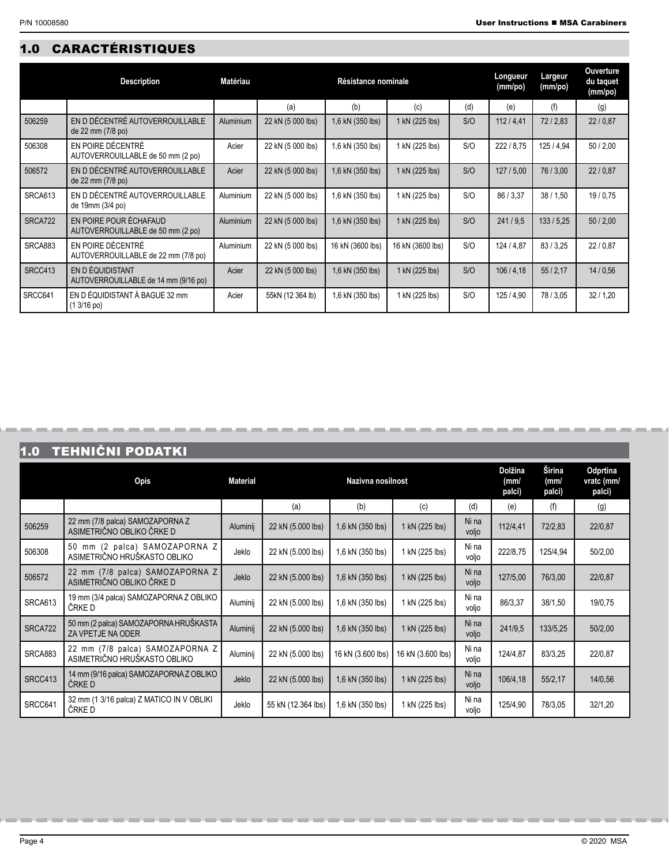# 1.0 CARACTÉRISTIQUES

|         | <b>Description</b>                                          | <b>Matériau</b>  | Résistance nominale |                  |                  |     |            | Largeur<br>(mm/po) | <b>Ouverture</b><br>du taquet<br>(mm/po) |
|---------|-------------------------------------------------------------|------------------|---------------------|------------------|------------------|-----|------------|--------------------|------------------------------------------|
|         |                                                             |                  | (a)                 | (b)              | (c)              | (d) | (e)        | (f)                | (g)                                      |
| 506259  | EN D DÉCENTRÉ AUTOVERROUILLABLE<br>de 22 mm (7/8 po)        | <b>Aluminium</b> | 22 kN (5 000 lbs)   | 1,6 kN (350 lbs) | 1 kN (225 lbs)   | S/O | 112/4.41   | 72/2,83            | 22/0.87                                  |
| 506308  | EN POIRE DÉCENTRÉ<br>AUTOVERROUILLABLE de 50 mm (2 po)      | Acier            | 22 kN (5 000 lbs)   | 1.6 kN (350 lbs) | 1 kN (225 lbs)   | S/O | 222/8.75   | 125/4.94           | 50/2,00                                  |
| 506572  | EN D DÉCENTRÉ AUTOVERROUILLABLE<br>de 22 mm (7/8 po)        | Acier            | 22 kN (5 000 lbs)   | 1.6 kN (350 lbs) | 1 kN (225 lbs)   | S/O | 127/5,00   | 76/3,00            | 22/0.87                                  |
| SRCA613 | EN D DÉCENTRÉ AUTOVERROUILLABLE<br>de 19mm (3/4 po)         | <b>Aluminium</b> | 22 kN (5 000 lbs)   | 1.6 kN (350 lbs) | 1 kN (225 lbs)   | S/O | 86 / 3.37  | 38 / 1.50          | 19/0.75                                  |
| SRCA722 | EN POIRE POUR ÉCHAFAUD<br>AUTOVERROUILLABLE de 50 mm (2 po) | <b>Aluminium</b> | 22 kN (5 000 lbs)   | 1.6 kN (350 lbs) | 1 kN (225 lbs)   | S/O | 241/9.5    | 133/5.25           | 50/2,00                                  |
| SRCA883 | EN POIRE DÉCENTRÉ<br>AUTOVERROUILLABLE de 22 mm (7/8 po)    | <b>Aluminium</b> | 22 kN (5 000 lbs)   | 16 kN (3600 lbs) | 16 kN (3600 lbs) | S/O | 124 / 4.87 | 83/3,25            | 22/0.87                                  |
| SRCC413 | EN D ÉQUIDISTANT<br>AUTOVERROUILLABLE de 14 mm (9/16 po)    | Acier            | 22 kN (5 000 lbs)   | 1,6 kN (350 lbs) | 1 kN (225 lbs)   | S/O | 106/4,18   | 55/2,17            | 14/0.56                                  |
| SRCC641 | EN D ÉQUIDISTANT À BAGUE 32 mm<br>$(13/16 \text{ po})$      | Acier            | 55kN (12 364 lb)    | 1,6 kN (350 lbs) | 1 kN (225 lbs)   | S/O | 125/4,90   | 78/3.05            | 32/1,20                                  |

# 1.0 TEHNIČNI PODATKI

|                | Opis                                                            | <b>Material</b> |                    | Dolžina<br>(mm)<br>palci) | Širina<br>(mm/<br>palci) | Odprtina<br>vratc (mm/<br>palci) |          |          |         |
|----------------|-----------------------------------------------------------------|-----------------|--------------------|---------------------------|--------------------------|----------------------------------|----------|----------|---------|
|                |                                                                 |                 | (a)                | (b)                       | (c)                      | (d)                              | (e)      | (f)      | (g)     |
| 506259         | 22 mm (7/8 palca) SAMOZAPORNA Z<br>ASIMETRIČNO OBLIKO ČRKE D    | Aluminij        | 22 kN (5.000 lbs)  | 1,6 kN (350 lbs)          | 1 kN (225 lbs)           | Ni na<br>voljo                   | 112/4,41 | 72/2,83  | 22/0,87 |
| 506308         | 50 mm (2 palca) SAMOZAPORNA Z<br>ASIMETRIČNO HRUŠKASTO OBLIKO   | Jeklo           | 22 kN (5.000 lbs)  | 1,6 kN (350 lbs)          | 1 kN (225 lbs)           | Ni na<br>voljo                   | 222/8.75 | 125/4.94 | 50/2,00 |
| 506572         | 22 mm (7/8 palca) SAMOZAPORNA Z<br>ASIMETRIČNO OBLIKO ČRKE D    | Jeklo           | 22 kN (5.000 lbs)  | 1,6 kN (350 lbs)          | 1 kN (225 lbs)           | Ni na<br>voljo                   | 127/5,00 | 76/3,00  | 22/0,87 |
| SRCA613        | 19 mm (3/4 palca) SAMOZAPORNA Z OBLIKO<br>ČRKE D                | Aluminij        | 22 kN (5.000 lbs)  | 1.6 kN (350 lbs)          | 1 kN (225 lbs)           | Ni na<br>voljo                   | 86/3,37  | 38/1,50  | 19/0,75 |
| <b>SRCA722</b> | 50 mm (2 palca) SAMOZAPORNA HRUŠKASTA<br>ZA VPETJE NA ODER      | Aluminij        | 22 kN (5.000 lbs)  | 1,6 kN (350 lbs)          | 1 kN (225 lbs)           | Ni na<br>voljo                   | 241/9.5  | 133/5,25 | 50/2,00 |
| SRCA883        | 22 mm (7/8 palca) SAMOZAPORNA Z<br>ASIMETRIČNO HRUŠKASTO OBLIKO | Aluminij        | 22 kN (5.000 lbs)  | 16 kN (3.600 lbs)         | 16 kN (3.600 lbs)        | Ni na<br>voljo                   | 124/4.87 | 83/3,25  | 22/0,87 |
| SRCC413        | 14 mm (9/16 palca) SAMOZAPORNA Z OBLIKO<br>ČRKE D               | Jeklo           | 22 kN (5.000 lbs)  | 1,6 kN (350 lbs)          | 1 kN (225 lbs)           | Ni na<br>voljo                   | 106/4,18 | 55/2,17  | 14/0,56 |
| SRCC641        | 32 mm (1 3/16 palca) Z MATICO IN V OBLIKI<br>ČRKE D             | Jeklo           | 55 kN (12.364 lbs) | 1,6 kN (350 lbs)          | 1 kN (225 lbs)           | Ni na<br>voljo                   | 125/4,90 | 78/3,05  | 32/1,20 |

----------

**COLOR** 

-

--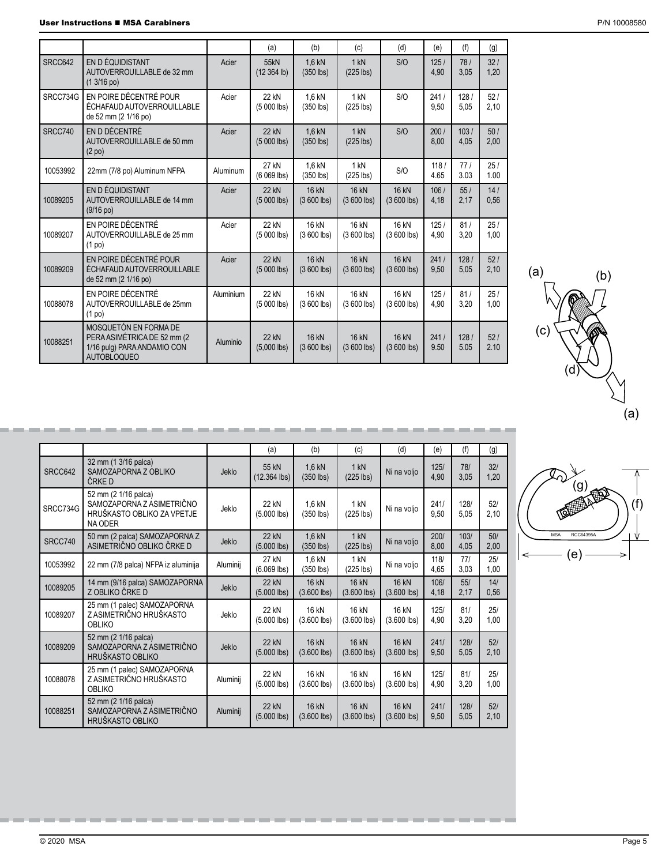$\sim$ -**COLOR COLOR COLOR** -

| User Instructions ■ MSA Carabiners | P/N 10008580 |
|------------------------------------|--------------|
|                                    |              |

|          |                                                                                                           |           | (a)                           | (b)                          | (c)                          | (d)                          | (e)          | (f)          | (g)         |
|----------|-----------------------------------------------------------------------------------------------------------|-----------|-------------------------------|------------------------------|------------------------------|------------------------------|--------------|--------------|-------------|
| SRCC642  | EN D ÉQUIDISTANT<br>AUTOVERROUILLABLE de 32 mm<br>$(13/16 \text{ po})$                                    | Acier     | 55kN<br>$(12364$ lb)          | 1.6 kN<br>$(350$ lbs)        | 1 kN<br>$(225$ lbs)          | S/O                          | 125/<br>4.90 | 78/<br>3,05  | 32/<br>1.20 |
| SRCC734G | EN POIRE DÉCENTRÉ POUR<br>ÉCHAFAUD AUTOVERROUILLABLE<br>de 52 mm (2 1/16 po)                              | Acier     | 22 kN<br>$(5000$ lbs)         | 1.6 kN<br>$(350$ lbs)        | 1 kN<br>$(225$ lbs)          | S/O                          | 241/<br>9.50 | 128/<br>5,05 | 52/<br>2,10 |
| SRCC740  | EN D DÉCENTRÉ<br>AUTOVERROUILLABLE de 50 mm<br>(2 <sub>po</sub> )                                         | Acier     | <b>22 kN</b><br>$(5000$ lbs)  | 1.6 kN<br>$(350$ lbs)        | 1 kN<br>$(225$ lbs)          | S/O                          | 200/<br>8.00 | 103/<br>4,05 | 50/<br>2,00 |
| 10053992 | 22mm (7/8 po) Aluminum NFPA                                                                               | Aluminum  | 27 kN<br>$(6069$ lbs)         | 1.6 kN<br>$(350$ lbs)        | 1 kN<br>$(225$ lbs)          | S/O                          | 118/<br>4.65 | 77/<br>3.03  | 25/<br>1.00 |
| 10089205 | EN D ÉQUIDISTANT<br>AUTOVERROUILLABLE de 14 mm<br>$(9/16$ po)                                             | Acier     | 22 kN<br>$(5000$ lbs)         | <b>16 kN</b><br>$(3600$ lbs) | <b>16 kN</b><br>$(3600$ lbs) | <b>16 kN</b><br>$(3600$ lbs) | 106/<br>4.18 | 55/<br>2,17  | 14/<br>0.56 |
| 10089207 | EN POIRE DÉCENTRÉ<br>AUTOVERROUILLABLE de 25 mm<br>$(1$ po)                                               | Acier     | 22 kN<br>$(5000$ lbs)         | 16 kN<br>$(3600$ lbs)        | 16 kN<br>$(3600$ lbs)        | 16 kN<br>$(3600$ lbs)        | 125/<br>4.90 | 81/<br>3.20  | 25/<br>1.00 |
| 10089209 | EN POIRE DÉCENTRÉ POUR<br>ÉCHAFAUD AUTOVERROUILLABLE<br>de 52 mm (2 1/16 po)                              | Acier     | <b>22 kN</b><br>$(5000$ lbs)  | <b>16 kN</b><br>$(3600$ lbs) | 16 kN<br>$(3600$ lbs)        | 16 kN<br>$(3600$ lbs)        | 241/<br>9,50 | 128/<br>5,05 | 52/<br>2,10 |
| 10088078 | EN POIRE DÉCENTRÉ<br>AUTOVERROUILLABLE de 25mm<br>$(1$ po $)$                                             | Aluminium | 22 kN<br>$(5000$ lbs)         | 16 kN<br>$(3600$ lbs)        | 16 kN<br>$(3600$ lbs)        | 16 kN<br>$(3600$ lbs)        | 125/<br>4.90 | 81/<br>3,20  | 25/<br>1,00 |
| 10088251 | MOSQUETÓN EN FORMA DE<br>PERA ASIMÉTRICA DE 52 mm (2<br>1/16 pulg) PARA ANDAMIO CON<br><b>AUTOBLOQUEO</b> | Aluminio  | <b>22 kN</b><br>$(5,000$ lbs) | <b>16 kN</b><br>$(3600$ lbs) | 16 kN<br>$(3600$ lbs)        | <b>16 kN</b><br>$(3600$ lbs) | 241/<br>9.50 | 128/<br>5.05 | 52/<br>2.10 |

|          |                                                                                                   |          | (a)                           | (b)                           | (c)                    | (d)                           | (e)          | (f)          | (g)         |
|----------|---------------------------------------------------------------------------------------------------|----------|-------------------------------|-------------------------------|------------------------|-------------------------------|--------------|--------------|-------------|
| SRCC642  | 32 mm (1 3/16 palca)<br>SAMOZAPORNA Z OBLIKO<br>ČRKE D                                            | Jeklo    | 55 kN<br>(12.364 lbs)         | $1,6$ kN<br>$(350$ lbs)       | 1 kN<br>$(225$ lbs)    | Ni na voljo                   | 125/<br>4,90 | 78/<br>3,05  | 32/<br>1,20 |
| SRCC734G | 52 mm (2 1/16 palca)<br>SAMOZAPORNA Z ASIMETRIČNO<br>HRUŠKASTO OBLIKO ZA VPETJE<br><b>NA ODER</b> | Jeklo    | 22 kN<br>$(5.000$ lbs)        | 1,6 kN<br>$(350$ lbs)         | 1 kN<br>$(225$ lbs)    | Ni na voljo                   | 241/<br>9.50 | 1281<br>5.05 | 52/<br>2,10 |
| SRCC740  | 50 mm (2 palca) SAMOZAPORNA Z<br>ASIMETRIČNO OBLIKO ČRKE D                                        | Jeklo    | <b>22 kN</b><br>$(5.000$ lbs) | $1,6$ kN<br>$(350$ lbs)       | 1 kN<br>$(225$ lbs)    | Ni na voljo                   | 200/<br>8,00 | 103/<br>4,05 | 50/<br>2,00 |
| 10053992 | 22 mm (7/8 palca) NFPA iz aluminija                                                               | Aluminij | 27 kN<br>$(6.069$ lbs)        | 1,6 kN<br>$(350$ lbs)         | 1 kN<br>$(225$ lbs)    | Ni na voljo                   | 118/<br>4,65 | 77/<br>3,03  | 25/<br>1,00 |
| 10089205 | 14 mm (9/16 palca) SAMOZAPORNA<br>Z OBLIKO ČRKE D                                                 | Jeklo    | <b>22 kN</b><br>$(5.000$ lbs) | <b>16 kN</b><br>$(3.600$ lbs) | 16 kN<br>$(3.600$ lbs) | <b>16 kN</b><br>$(3.600$ lbs) | 106/<br>4,18 | 55/<br>2,17  | 14/<br>0,56 |
| 10089207 | 25 mm (1 palec) SAMOZAPORNA<br>Z ASIMETRIČNO HRUŠKASTO<br><b>OBLIKO</b>                           | Jeklo    | 22 kN<br>$(5.000$ lbs)        | 16 kN<br>$(3.600$ lbs)        | 16 kN<br>$(3.600$ lbs) | 16 kN<br>$(3.600$ lbs)        | 125/<br>4,90 | 81/<br>3.20  | 25/<br>1,00 |
| 10089209 | 52 mm (2 1/16 palca)<br>SAMOZAPORNA Z ASIMETRIČNO<br><b>HRUŠKASTO OBLIKO</b>                      | Jeklo    | 22 kN<br>$(5.000$ lbs)        | <b>16 kN</b><br>$(3.600$ lbs) | 16 kN<br>$(3.600$ lbs) | 16 kN<br>$(3.600$ lbs)        | 241/<br>9,50 | 1281<br>5,05 | 52/<br>2,10 |
| 10088078 | 25 mm (1 palec) SAMOZAPORNA<br>Z ASIMETRIČNO HRUŠKASTO<br><b>OBLIKO</b>                           | Aluminij | 22 kN<br>$(5.000$ lbs)        | 16 kN<br>$(3.600$ lbs)        | 16 kN<br>$(3.600$ lbs) | 16 kN<br>$(3.600$ lbs)        | 125/<br>4.90 | 81/<br>3,20  | 25/<br>1,00 |
| 10088251 | 52 mm (2 1/16 palca)<br>SAMOZAPORNA Z ASIMETRIČNO<br>HRUŠKASTO OBLIKO                             | Aluminij | <b>22 kN</b><br>$(5.000$ lbs) | <b>16 kN</b><br>$(3.600$ lbs) | 16 kN<br>$(3.600$ lbs) | <b>16 kN</b><br>$(3.600$ lbs) | 241/<br>9,50 | 128/<br>5,05 | 52/<br>2,10 |

**COLOR** --**COLOR** 

© 2020 MSA Page 5



(a)

(c)

€

 $(a)$  (b)

(d)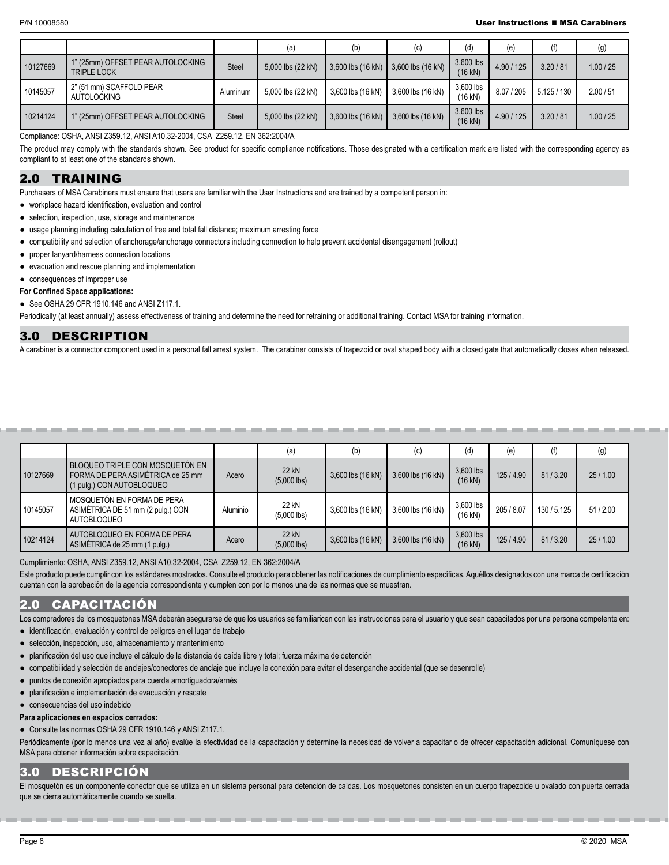#### P/N 10008580 User Instructions MSA Carabiners

|          |                                                 |              | (a)               | (b)               | (C)               | (d)                    | (e)        | (f)       | (g)       |
|----------|-------------------------------------------------|--------------|-------------------|-------------------|-------------------|------------------------|------------|-----------|-----------|
| 10127669 | ' (25mm) OFFSET PEAR AUTOLOCKING<br>TRIPLE LOCK | <b>Steel</b> | 5,000 lbs (22 kN) | 3,600 lbs (16 kN) | 3,600 lbs (16 kN) | 3,600 lbs<br>$(16$ kN) | 4.90 / 125 | 3.20 / 81 | 1.00 / 25 |
| 10145057 | 2" (51 mm) SCAFFOLD PEAR<br><b>AUTOLOCKING</b>  | Aluminum     | 5.000 lbs (22 kN) | 3.600 lbs (16 kN) | 3,600 lbs (16 kN) | 3,600 lbs<br>$(16$ kN) | 8.07 / 205 | 5.125/130 | 2.00 / 51 |
| 10214124 | " (25mm) OFFSET PEAR AUTOLOCKING                | <b>Steel</b> | 5,000 lbs (22 kN) | 3,600 lbs (16 kN) | 3,600 lbs (16 kN) | 3,600 lbs<br>$(16$ kN) | 4.90 / 125 | 3.20 / 81 | 1.00 / 25 |

Compliance: OSHA, ANSI Z359.12, ANSI A10.32-2004, CSA Z259.12, EN 362:2004/A

The product may comply with the standards shown. See product for specific compliance notifications. Those designated with a certification mark are listed with the corresponding agency as compliant to at least one of the standards shown.

# 2.0 TRAINING

Purchasers of MSA Carabiners must ensure that users are familiar with the User Instructions and are trained by a competent person in:

**●** workplace hazard identification, evaluation and control

- **●** selection, inspection, use, storage and maintenance
- **●** usage planning including calculation of free and total fall distance; maximum arresting force
- **●** compatibility and selection of anchorage/anchorage connectors including connection to help prevent accidental disengagement (rollout)
- **●** proper lanyard/harness connection locations
- **●** evacuation and rescue planning and implementation
- **●** consequences of improper use

#### **For Confined Space applications:**

**●** See OSHA 29 CFR 1910.146 and ANSI Z117.1.

Periodically (at least annually) assess effectiveness of training and determine the need for retraining or additional training. Contact MSA for training information.

# 3.0 DESCRIPTION

A carabiner is a connector component used in a personal fall arrest system. The carabiner consists of trapezoid or oval shaped body with a closed gate that automatically closes when released.

|          |                                                                                                   |          | (a)                    | (b)               | (C)               | (d)                  | (e)        | (f)       | (g)     |
|----------|---------------------------------------------------------------------------------------------------|----------|------------------------|-------------------|-------------------|----------------------|------------|-----------|---------|
| 10127669 | BLOQUEO TRIPLE CON MOSQUETÓN EN<br>FORMA DE PERA ASIMÉTRICA de 25 mm<br>(1 pulg.) CON AUTOBLOQUEO | Acero    | 22 kN<br>$(5,000$ lbs) | 3,600 lbs (16 kN) | 3,600 lbs (16 kN) | 3,600 lbs<br>(16 kN) | 125/4.90   | 81/3.20   | 25/1.00 |
| 10145057 | MOSQUETÓN EN FORMA DE PERA<br>ASIMÉTRICA DE 51 mm (2 pulg.) CON<br>AUTOBLOQUEO                    | Aluminio | 22 kN<br>$(5,000$ lbs) | 3,600 lbs (16 kN) | 3,600 lbs (16 kN) | 3,600 lbs<br>(16 kN) | 205 / 8.07 | 130/5.125 | 51/2.00 |
| 10214124 | AUTOBLOQUEO EN FORMA DE PERA<br>ASIMÉTRICA de 25 mm (1 pulg.)                                     | Acero    | 22 kN<br>$(5,000$ lbs) | 3,600 lbs (16 kN) | 3,600 lbs (16 kN) | 3,600 lbs<br>(16 kN) | 125/4.90   | 81/3.20   | 25/1.00 |

Cumplimiento: OSHA, ANSI Z359.12, ANSI A10.32-2004, CSA Z259.12, EN 362:2004/A

Este producto puede cumplir con los estándares mostrados. Consulte el producto para obtener las notificaciones de cumplimiento específicas. Aquéllos designados con una marca de certificación cuentan con la aprobación de la agencia correspondiente y cumplen con por lo menos una de las normas que se muestran.

# 2.0 CAPACITACIÓN

Los compradores de los mosquetones MSA deberán asegurarse de que los usuarios se familiaricen con las instrucciones para el usuario y que sean capacitados por una persona competente en:

**●** identificación, evaluación y control de peligros en el lugar de trabajo

- selección, inspección, uso, almacenamiento y mantenimiento
- planificación del uso que incluye el cálculo de la distancia de caída libre y total; fuerza máxima de detención
- compatibilidad y selección de anclajes/conectores de anclaje que incluye la conexión para evitar el desenganche accidental (que se desenrolle)
- puntos de conexión apropiados para cuerda amortiguadora/arnés
- planificación e implementación de evacuación y rescate

● consecuencias del uso indebido

#### **Para aplicaciones en espacios cerrados:**

**●** Consulte las normas OSHA 29 CFR 1910.146 y ANSI Z117.1.

Periódicamente (por lo menos una vez al año) evalúe la efectividad de la capacitación y determine la necesidad de volver a capacitar o de ofrecer capacitación adicional. Comuníquese con MSA para obtener información sobre capacitación.

# 3.0 DESCRIPCIÓN

El mosquetón es un componente conector que se utiliza en un sistema personal para detención de caídas. Los mosquetones consisten en un cuerpo trapezoide u ovalado con puerta cerrada que se cierra automáticamente cuando se suelta.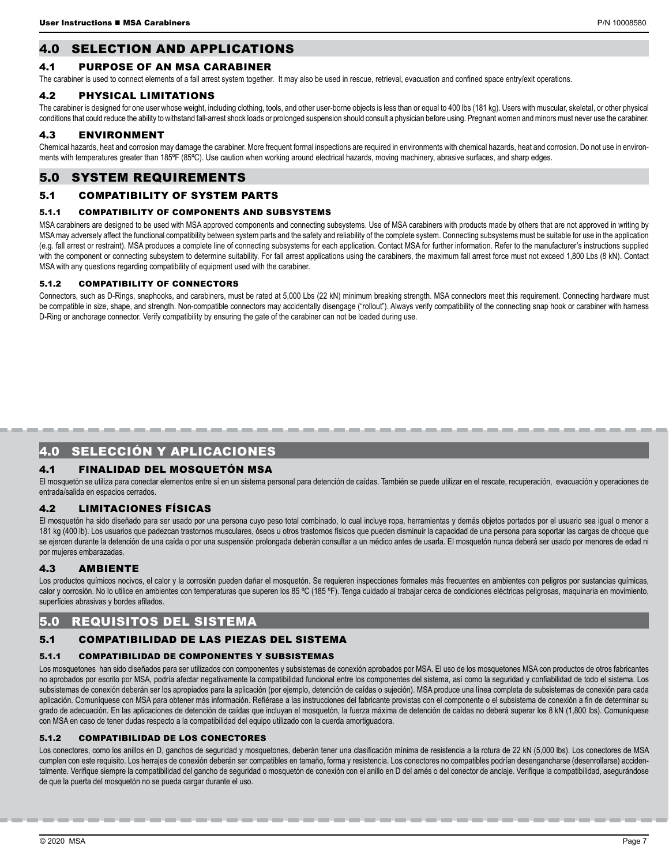# 4.0 SELECTION AND APPLICATIONS

# 4.1 PURPOSE OF AN MSA CARABINER

The carabiner is used to connect elements of a fall arrest system together. It may also be used in rescue, retrieval, evacuation and confined space entry/exit operations.

# 4.2 PHYSICAL LIMITATIONS

The carabiner is designed for one user whose weight, including clothing, tools, and other user-borne objects is less than or equal to 400 lbs (181 kg). Users with muscular, skeletal, or other physical conditions that could reduce the ability to withstand fall-arrest shock loads or prolonged suspension should consult a physician before using. Pregnant women and minors must never use the carabiner.

# 4.3 ENVIRONMENT

Chemical hazards, heat and corrosion may damage the carabiner. More frequent formal inspections are required in environments with chemical hazards, heat and corrosion. Do not use in environments with temperatures greater than 185°F (85°C). Use caution when working around electrical hazards, moving machinery, abrasive surfaces, and sharp edges.

# 5.0 SYSTEM REQUIREMENTS

# 5.1 COMPATIBILITY OF SYSTEM PARTS

#### 5.1.1 COMPATIBILITY OF COMPONENTS AND SUBSYSTEMS

MSA carabiners are designed to be used with MSA approved components and connecting subsystems. Use of MSA carabiners with products made by others that are not approved in writing by MSA may adversely affect the functional compatibility between system parts and the safety and reliability of the complete system. Connecting subsystems must be suitable for use in the application (e.g. fall arrest or restraint). MSA produces a complete line of connecting subsystems for each application. Contact MSA for further information. Refer to the manufacturer's instructions supplied with the component or connecting subsystem to determine suitability. For fall arrest applications using the carabiners, the maximum fall arrest force must not exceed 1,800 Lbs (8 kN). Contact MSA with any questions regarding compatibility of equipment used with the carabiner.

#### 5.1.2 COMPATIBILITY OF CONNECTORS

Connectors, such as D-Rings, snaphooks, and carabiners, must be rated at 5,000 Lbs (22 kN) minimum breaking strength. MSA connectors meet this requirement. Connecting hardware must be compatible in size, shape, and strength. Non-compatible connectors may accidentally disengage ("rollout"). Always verify compatibility of the connecting snap hook or carabiner with harness D-Ring or anchorage connector. Verify compatibility by ensuring the gate of the carabiner can not be loaded during use.

# 4.0 SELECCIÓN Y APLICACIONES

# 4.1 FINALIDAD DEL MOSQUETÓN MSA

El mosquetón se utiliza para conectar elementos entre sí en un sistema personal para detención de caídas. También se puede utilizar en el rescate, recuperación, evacuación y operaciones de entrada/salida en espacios cerrados.

# 4.2 LIMITACIONES FÍSICAS

El mosquetón ha sido diseñado para ser usado por una persona cuyo peso total combinado, lo cual incluye ropa, herramientas y demás objetos portados por el usuario sea igual o menor a 181 kg (400 lb). Los usuarios que padezcan trastornos musculares, óseos u otros trastornos físicos que pueden disminuir la capacidad de una persona para soportar las cargas de choque que se ejercen durante la detención de una caída o por una suspensión prolongada deberán consultar a un médico antes de usarla. El mosquetón nunca deberá ser usado por menores de edad ni por mujeres embarazadas.

# 4.3 AMBIENTE

Los productos químicos nocivos, el calor y la corrosión pueden dañar el mosquetón. Se requieren inspecciones formales más frecuentes en ambientes con peligros por sustancias químicas, calor y corrosión. No lo utilice en ambientes con temperaturas que superen los 85 °C (185 °F). Tenga cuidado al trabajar cerca de condiciones eléctricas peligrosas, maquinaria en movimiento, superficies abrasivas y bordes afilados.

# 5.0 REQUISITOS DEL SISTEMA

# 5.1 COMPATIBILIDAD DE LAS PIEZAS DEL SISTEMA

#### 5.1.1 COMPATIBILIDAD DE COMPONENTES Y SUBSISTEMAS

Los mosquetones han sido diseñados para ser utilizados con componentes y subsistemas de conexión aprobados por MSA. El uso de los mosquetones MSA con productos de otros fabricantes no aprobados por escrito por MSA, podría afectar negativamente la compatibilidad funcional entre los componentes del sistema, así como la seguridad y confiabilidad de todo el sistema. Los subsistemas de conexión deberán ser los apropiados para la aplicación (por ejemplo, detención de caídas o sujeción). MSA produce una línea completa de subsistemas de conexión para cada aplicación. Comuníquese con MSA para obtener más información. Refiérase a las instrucciones del fabricante provistas con el componente o el subsistema de conexión a fin de determinar su grado de adecuación. En las aplicaciones de detención de caídas que incluyan el mosquetón, la fuerza máxima de detención de caídas no deberá superar los 8 kN (1,800 lbs). Comuníquese con MSA en caso de tener dudas respecto a la compatibilidad del equipo utilizado con la cuerda amortiguadora.

#### 5.1.2 COMPATIBILIDAD DE LOS CONECTORES

Los conectores, como los anillos en D, ganchos de seguridad y mosquetones, deberán tener una clasificación mínima de resistencia a la rotura de 22 kN (5,000 lbs). Los conectores de MSA cumplen con este requisito. Los herrajes de conexión deberán ser compatibles en tamaño, forma y resistencia. Los conectores no compatibles podrían desengancharse (desenrollarse) accidentalmente. Verifique siempre la compatibilidad del gancho de seguridad o mosquetón de conexión con el anillo en D del arnés o del conector de anclaje. Verifique la compatibilidad, asegurándose de que la puerta del mosquetón no se pueda cargar durante el uso.

-------------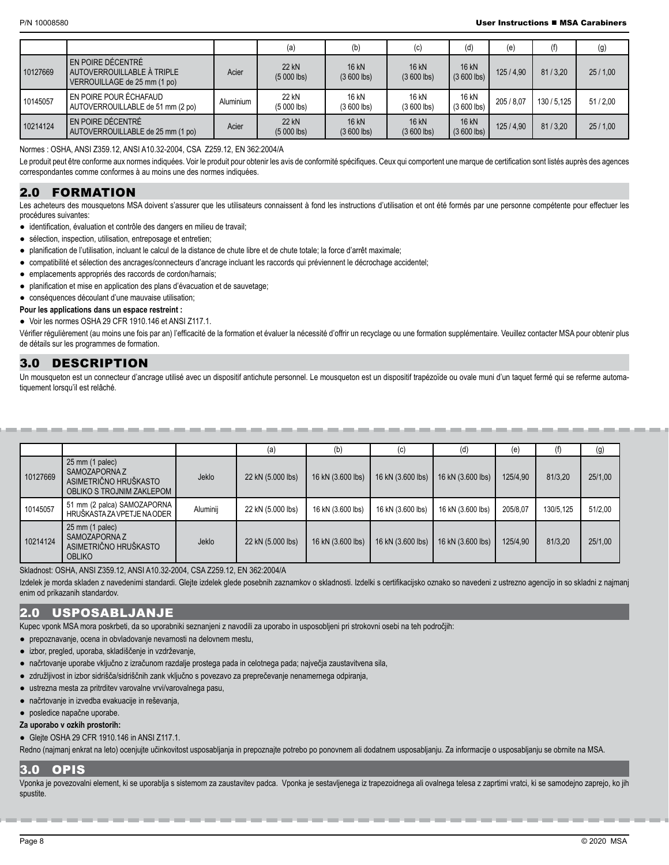|          |                                                                                 |           | (a)                          | (b)                   | (c)                          | (d)                          | (e)        | (f)       | (g)     |
|----------|---------------------------------------------------------------------------------|-----------|------------------------------|-----------------------|------------------------------|------------------------------|------------|-----------|---------|
| 10127669 | EN POIRE DÉCENTRÉ<br>AUTOVERROUILLABLE À TRIPLE<br>VERROUILLAGE de 25 mm (1 po) | Acier     | 22 kN<br>$(5000$ lbs)        | 16 kN<br>$(3600$ lbs) | 16 kN<br>$(3600$ lbs)        | <b>16 kN</b><br>$(3600$ lbs) | 125/4.90   | 81/3.20   | 25/1,00 |
| 10145057 | EN POIRE POUR ÉCHAFAUD<br>AUTOVERROUILLABLE de 51 mm (2 po)                     | Aluminium | 22 kN<br>$(5000$ lbs)        | 16 kN<br>$(3600$ lbs) | 16 kN<br>$(3600$ lbs)        | 16 kN<br>$(3600$ lbs)        | 205 / 8.07 | 130/5.125 | 51/2,00 |
| 10214124 | EN POIRE DÉCENTRÉ<br>AUTOVERROUILLABLE de 25 mm (1 po)                          | Acier     | <b>22 kN</b><br>$(5000$ lbs) | 16 kN<br>$(3600$ lbs) | <b>16 kN</b><br>$(3600$ lbs) | <b>16 kN</b><br>$(3600$ lbs) | 125/4.90   | 81/3.20   | 25/1,00 |

Normes : OSHA, ANSI Z359.12, ANSI A10.32-2004, CSA Z259.12, EN 362:2004/A

Le produit peut être conforme aux normes indiquées. Voir le produit pour obtenir les avis de conformité spécifiques. Ceux qui comportent une marque de certification sont listés auprès des agences correspondantes comme conformes à au moins une des normes indiquées.

# 2.0 FORMATION

Les acheteurs des mousquetons MSA doivent s'assurer que les utilisateurs connaissent à fond les instructions d'utilisation et ont été formés par une personne compétente pour effectuer les procédures suivantes:

- **●** identification, évaluation et contrôle des dangers en milieu de travail;
- sélection, inspection, utilisation, entreposage et entretien;
- planification de l'utilisation, incluant le calcul de la distance de chute libre et de chute totale; la force d'arrêt maximale;
- compatibilité et sélection des ancrages/connecteurs d'ancrage incluant les raccords qui préviennent le décrochage accidentel;
- emplacements appropriés des raccords de cordon/harnais;
- planification et mise en application des plans d'évacuation et de sauvetage;
- conséquences découlant d'une mauvaise utilisation;

#### **Pour les applications dans un espace restreint :**

**●** Voir les normes OSHA 29 CFR 1910.146 et ANSI Z117.1.

Vérifier régulièrement (au moins une fois par an) l'efficacité de la formation et évaluer la nécessité d'offrir un recyclage ou une formation supplémentaire. Veuillez contacter MSA pour obtenir plus de détails sur les programmes de formation.

# 3.0 DESCRIPTION

Un mousqueton est un connecteur d'ancrage utilisé avec un dispositif antichute personnel. Le mousqueton est un dispositif trapézoïde ou ovale muni d'un taquet fermé qui se referme automatiquement lorsqu'il est relâché.

|          |                                                                                        |          | (a)               | (b)               | (c)               | (d)               | (e)      |           | (g)     |
|----------|----------------------------------------------------------------------------------------|----------|-------------------|-------------------|-------------------|-------------------|----------|-----------|---------|
| 10127669 | 25 mm (1 palec)<br>SAMOZAPORNA Z<br>ASIMETRIČNO HRUŠKASTO<br>OBLIKO S TROJNIM ZAKLEPOM | Jeklo    | 22 kN (5.000 lbs) | 16 kN (3.600 lbs) | 16 kN (3.600 lbs) | 16 kN (3.600 lbs) | 125/4,90 | 81/3,20   | 25/1,00 |
| 10145057 | 51 mm (2 palca) SAMOZAPORNA<br>HRUŠKASTAZA VPETJE NA ODER                              | Aluminij | 22 kN (5.000 lbs) | 16 kN (3.600 lbs) | 16 kN (3.600 lbs) | 16 kN (3.600 lbs) | 205/8.07 | 130/5,125 | 51/2,00 |
| 10214124 | 25 mm (1 palec)<br>SAMOZAPORNA Z<br>ASIMETRIČNO HRUŠKASTO<br><b>OBLIKO</b>             | Jeklo    | 22 kN (5.000 lbs) | 16 kN (3.600 lbs) | 16 kN (3.600 lbs) | 16 kN (3.600 lbs) | 125/4,90 | 81/3,20   | 25/1,00 |

Skladnost: OSHA, ANSI Z359.12, ANSI A10.32-2004, CSA Z259.12, EN 362:2004/A

Izdelek je morda skladen z navedenimi standardi. Glejte izdelek glede posebnih zaznamkov o skladnosti. Izdelki s certifikacijsko oznako so navedeni z ustrezno agencijo in so skladni z najmanj enim od prikazanih standardov.

# 2.0 USPOSABLJANJE

Kupec vponk MSA mora poskrbeti, da so uporabniki seznanjeni z navodili za uporabo in usposobljeni pri strokovni osebi na teh področjih:

**●** prepoznavanje, ocena in obvladovanje nevarnosti na delovnem mestu,

- **●** izbor, pregled, uporaba, skladiščenje in vzdrževanje,
- **●** načrtovanje uporabe vključno z izračunom razdalje prostega pada in celotnega pada; največja zaustavitvena sila,
- **●** združljivost in izbor sidrišča/sidriščnih zank vključno s povezavo za preprečevanje nenamernega odpiranja,
- **●** ustrezna mesta za pritrditev varovalne vrvi/varovalnega pasu,
- **●** načrtovanje in izvedba evakuacije in reševanja,
- **●** posledice napačne uporabe.

**Za uporabo v ozkih prostorih:**

**●** Glejte OSHA 29 CFR 1910.146 in ANSI Z117.1.

Redno (najmanj enkrat na leto) ocenjujte učinkovitost usposabljanja in prepoznajte potrebo po ponovnem ali dodatnem usposabljanju. Za informacije o usposabljanju se obrnite na MSA.

# 3.0 OPIS

Vponka je povezovalni element, ki se uporablja s sistemom za zaustavitev padca. Vponka je sestavljenega iz trapezoidnega ali ovalnega telesa z zaprtimi vratci, ki se samodejno zaprejo, ko jih spustite.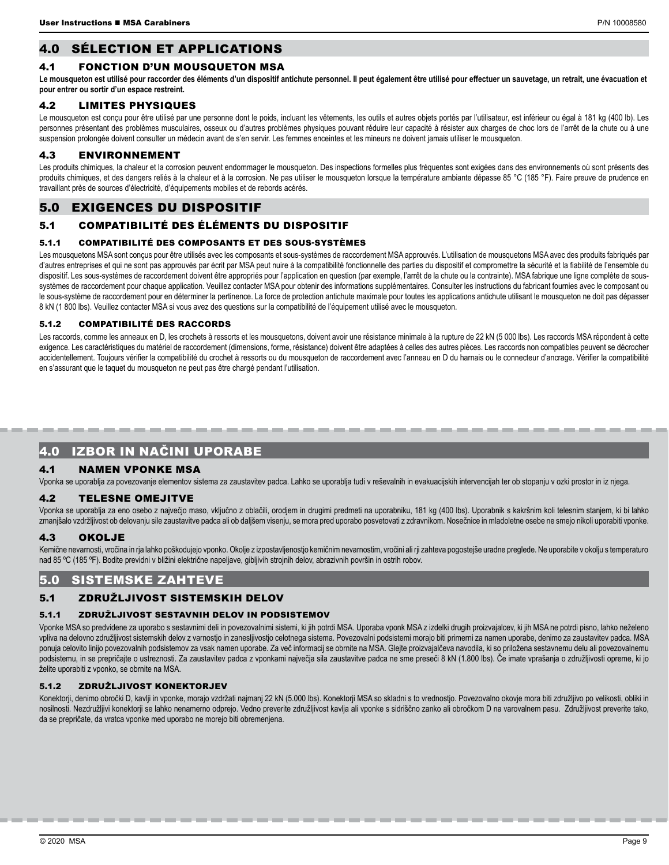# 4.0 SÉLECTION ET APPLICATIONS

# 4.1 FONCTION D'UN MOUSQUETON MSA

Le mousqueton est utilisé pour raccorder des éléments d'un dispositif antichute personnel. Il peut également être utilisé pour effectuer un sauvetage, un retrait, une évacuation et **pour entrer ou sortir d'un espace restreint.**

# 4.2 LIMITES PHYSIQUES

Le mousqueton est conçu pour être utilisé par une personne dont le poids, incluant les vêtements, les outils et autres objets portés par l'utilisateur, est inférieur ou égal à 181 kg (400 lb). Les personnes présentant des problèmes musculaires, osseux ou d'autres problèmes physiques pouvant réduire leur capacité à résister aux charges de choc lors de l'arrêt de la chute ou à une suspension prolongée doivent consulter un médecin avant de s'en servir. Les femmes enceintes et les mineurs ne doivent jamais utiliser le mousqueton.

# 4.3 ENVIRONNEMENT

Les produits chimiques, la chaleur et la corrosion peuvent endommager le mousqueton. Des inspections formelles plus fréquentes sont exigées dans des environnements où sont présents des produits chimiques, et des dangers reliés à la chaleur et à la corrosion. Ne pas utiliser le mousqueton lorsque la température ambiante dépasse 85 °C (185 °F). Faire preuve de prudence en travaillant près de sources d'électricité, d'équipements mobiles et de rebords acérés.

# 5.0 EXIGENCES DU DISPOSITIF

# 5.1 COMPATIBILITÉ DES ÉLÉMENTS DU DISPOSITIF

#### 5.1.1 COMPATIBILITÉ DES COMPOSANTS ET DES SOUS-SYSTÈMES

Les mousquetons MSA sont concus pour être utilisés avec les composants et sous-systèmes de raccordement MSA approuvés. L'utilisation de mousquetons MSA avec des produits fabriqués par d'autres entreprises et qui ne sont pas approuvés par écrit par MSA peut nuire à la compatibilité fonctionnelle des parties du dispositif et compromettre la sécurité et la fiabilité de l'ensemble du dispositif. Les sous-systèmes de raccordement doivent être appropriés pour l'application en question (par exemple, l'arrêt de la chute ou la contrainte). MSA fabrique une ligne complète de soussystèmes de raccordement pour chaque application. Veuillez contacter MSA pour obtenir des informations supplémentaires. Consulter les instructions du fabricant fournies avec le composant ou le sous-système de raccordement pour en déterminer la pertinence. La force de protection antichute maximale pour toutes les applications antichute utilisant le mousqueton ne doit pas dépasser 8 kN (1 800 lbs). Veuillez contacter MSA si vous avez des questions sur la compatibilité de l'équipement utilisé avec le mousqueton.

#### 5.1.2 COMPATIBILITÉ DES RACCORDS

Les raccords, comme les anneaux en D, les crochets à ressorts et les mousquetons, doivent avoir une résistance minimale à la rupture de 22 kN (5 000 lbs). Les raccords MSA répondent à cette exigence. Les caractéristiques du matériel de raccordement (dimensions, forme, résistance) doivent être adaptées à celles des autres pièces. Les raccords non compatibles peuvent se décrocher accidentellement. Toujours vérifier la compatibilité du crochet à ressorts ou du mousqueton de raccordement avec l'anneau en D du harnais ou le connecteur d'ancrage. Vérifier la compatibilité en s'assurant que le taquet du mousqueton ne peut pas être chargé pendant l'utilisation.

# 4.0 IZBOR IN NAČINI UPORABE

# 4.1 NAMEN VPONKE MSA

Vponka se uporablja za povezovanje elementov sistema za zaustavitev padca. Lahko se uporablja tudi v reševalnih in evakuacijskih intervencijah ter ob stopanju v ozki prostor in iz njega.

#### 4.2 TELESNE OMEJITVE

Vponka se uporablja za eno osebo z največjo maso, vključno z oblačili, orodjem in drugimi predmeti na uporabniku, 181 kg (400 lbs). Uporabnik s kakršnim koli telesnim stanjem, ki bi lahko zmanjšalo vzdržljivost ob delovanju sile zaustavitve padca ali ob daljšem visenju, se mora pred uporabo posvetovati z zdravnikom. Nosečnice in mladoletne osebe ne smejo nikoli uporabiti vponke.

#### 4.3 OKOLJE

Kemične nevarnosti, vročina in rja lahko poškodujejo vponko. Okolje z izpostavljenostjo kemičnim nevarnostim, vročini ali rji zahteva pogostejše uradne preglede. Ne uporabite v okolju s temperaturo nad 85 ºC (185 ºF). Bodite previdni v bližini električne napeljave, gibljivih strojnih delov, abrazivnih površin in ostrih robov.

# 5.0 SISTEMSKE ZAHTEVE

# 5.1 ZDRUŽLJIVOST SISTEMSKIH DELOV

#### 5.1.1 ZDRUŽLJIVOST SESTAVNIH DELOV IN PODSISTEMOV

Vponke MSA so predvidene za uporabo s sestavnimi deli in povezovalnimi sistemi, ki jih potrdi MSA. Uporaba vponk MSA z izdelki drugih proizvajalcev, ki jih MSA ne potrdi pisno, lahko neželeno vpliva na delovno združljivost sistemskih delov z varnostjo in zanesljivostjo celotnega sistema. Povezovalni podsistemi morajo biti primerni za namen uporabe, denimo za zaustavitev padca. MSA ponuja celovito linijo povezovalnih podsistemov za vsak namen uporabe. Za več informacij se obrnite na MSA. Glejte proizvajalčeva navodila, ki so priložena sestavnemu delu ali povezovalnemu podsistemu, in se prepričajte o ustreznosti. Za zaustavitev padca z vponkami največja sila zaustavitve padca ne sme preseči 8 kN (1.800 lbs). Če imate vprašanja o združljivosti opreme, ki jo želite uporabiti z vponko, se obrnite na MSA.

#### 5.1.2 ZDRUŽLJIVOST KONEKTORJEV

Konektorji, denimo obročki D, kavlji in vponke, morajo vzdržati najmanj 22 kN (5.000 lbs). Konektorji MSA so skladni s to vrednostjo. Povezovalno okovje mora biti združljivo po velikosti, obliki in nosilnosti. Nezdružljivi konektorji se lahko nenamerno odprejo. Vedno preverite združljivost kavlja ali vponke s sidriščno zanko ali obročkom D na varovalnem pasu. Združljivost preverite tako, da se prepričate, da vratca vponke med uporabo ne morejo biti obremenjena.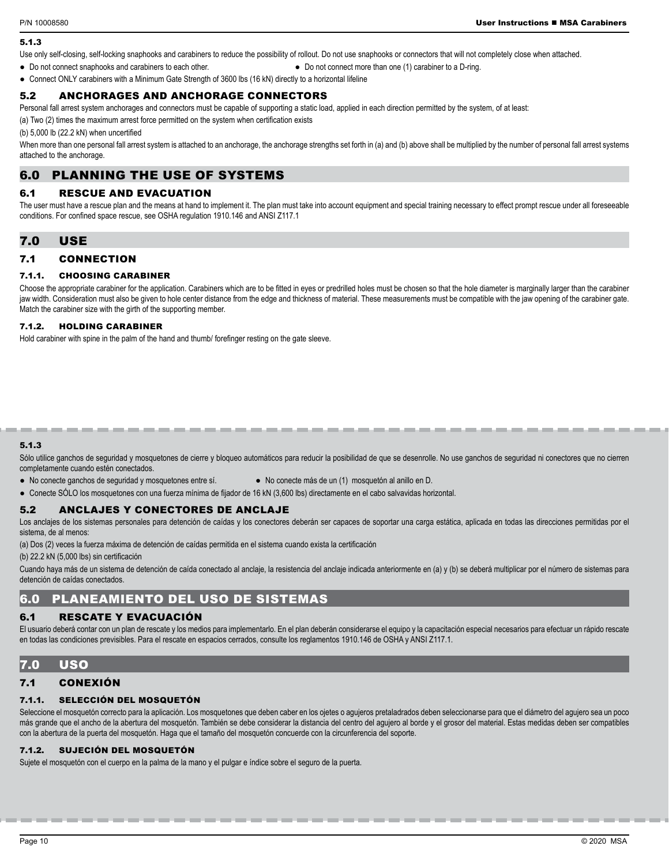# 5.1.3

Use only self-closing, self-locking snaphooks and carabiners to reduce the possibility of rollout. Do not use snaphooks or connectors that will not completely close when attached.

**●** Do not connect snaphooks and carabiners to each other. **●** Do not connect more than one (1) carabiner to a D-ring.

**●** Connect ONLY carabiners with a Minimum Gate Strength of 3600 lbs (16 kN) directly to a horizontal lifeline

# 5.2 ANCHORAGES AND ANCHORAGE CONNECTORS

Personal fall arrest system anchorages and connectors must be capable of supporting a static load, applied in each direction permitted by the system, of at least:

(a) Two (2) times the maximum arrest force permitted on the system when certification exists

(b) 5,000 lb (22.2 kN) when uncertified

When more than one personal fall arrest system is attached to an anchorage, the anchorage strengths set forth in (a) and (b) above shall be multiplied by the number of personal fall arrest systems attached to the anchorage.

# 6.0 PLANNING THE USE OF SYSTEMS

# 6.1 RESCUE AND EVACUATION

The user must have a rescue plan and the means at hand to implement it. The plan must take into account equipment and special training necessary to effect prompt rescue under all foreseeable conditions. For confined space rescue, see OSHA regulation 1910.146 and ANSI Z117.1

# 7.0 USE

# 7.1 CONNECTION

#### 7.1.1. CHOOSING CARABINER

Choose the appropriate carabiner for the application. Carabiners which are to be fitted in eyes or predrilled holes must be chosen so that the hole diameter is marginally larger than the carabiner jaw width. Consideration must also be given to hole center distance from the edge and thickness of material. These measurements must be compatible with the jaw opening of the carabiner gate. Match the carabiner size with the girth of the supporting member.

#### 7.1.2. HOLDING CARABINER

Hold carabiner with spine in the palm of the hand and thumb/ forefinger resting on the gate sleeve.

#### 5.1.3

Sólo utilice ganchos de seguridad y mosquetones de cierre y bloqueo automáticos para reducir la posibilidad de que se desenrolle. No use ganchos de seguridad ni conectores que no cierren completamente cuando estén conectados.

-------------------------------

- No conecte ganchos de seguridad y mosquetones entre sí. No conecte más de un (1) mosquetón al anillo en D.
	-
- **●** Conecte SÓLO los mosquetones con una fuerza mínima de fijador de 16 kN (3,600 lbs) directamente en el cabo salvavidas horizontal.

#### 5.2 ANCLAJES Y CONECTORES DE ANCLAJE

Los anclajes de los sistemas personales para detención de caídas y los conectores deberán ser capaces de soportar una carga estática, aplicada en todas las direcciones permitidas por el sistema, de al menos:

(a) Dos (2) veces la fuerza máxima de detención de caídas permitida en el sistema cuando exista la certificación

(b) 22.2 kN (5,000 lbs) sin certificación

Cuando haya más de un sistema de detención de caída conectado al anclaje, la resistencia del anclaje indicada anteriormente en (a) y (b) se deberá multiplicar por el número de sistemas para detención de caídas conectados.

# 6.0 PLANEAMIENTO DEL USO DE SISTEMAS

#### 6.1 RESCATE Y EVACUACIÓN

El usuario deberá contar con un plan de rescate y los medios para implementarlo. En el plan deberán considerarse el equipo y la capacitación especial necesarios para efectuar un rápido rescate en todas las condiciones previsibles. Para el rescate en espacios cerrados, consulte los reglamentos 1910.146 de OSHA y ANSI Z117.1.

# 7.0 USO

# 7.1 CONEXIÓN

#### 7.1.1. SELECCIÓN DEL MOSQUETÓN

Seleccione el mosquetón correcto para la aplicación. Los mosquetones que deben caber en los ojetes o aquieros pretaladrados deben seleccionarse para que el diámetro del aquiero sea un poco más grande que el ancho de la abertura del mosquetón. También se debe considerar la distancia del centro del agujero al borde y el grosor del material. Estas medidas deben ser compatibles con la abertura de la puerta del mosquetón. Haga que el tamaño del mosquetón concuerde con la circunferencia del soporte.

#### 7.1.2. SUJECIÓN DEL MOSQUETÓN

Sujete el mosquetón con el cuerpo en la palma de la mano y el pulgar e índice sobre el seguro de la puerta.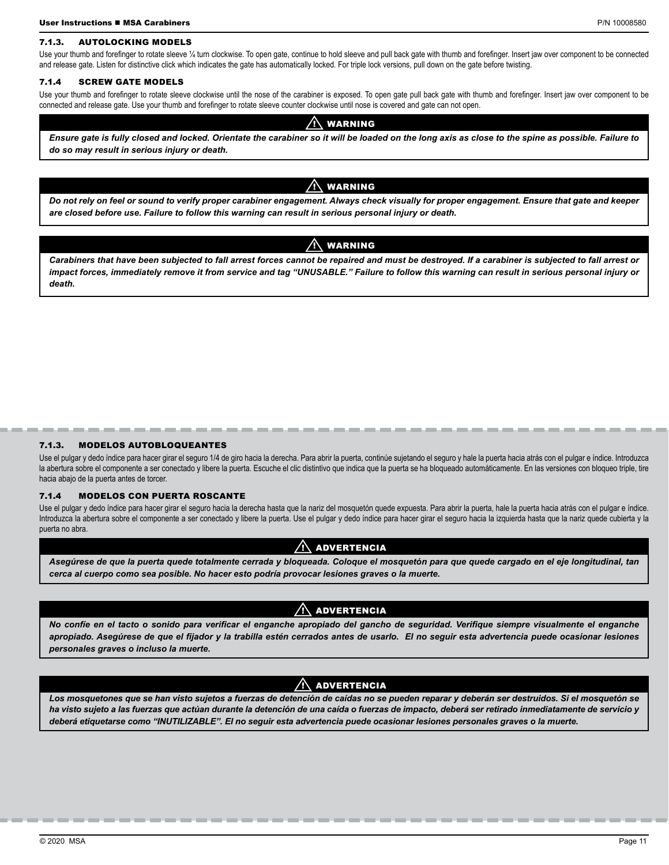#### 7.1.3. AUTOLOCKING MODELS

Use your thumb and forefinger to rotate sleeve 1/4 turn clockwise. To open gate, continue to hold sleeve and pull back gate with thumb and forefinger. Insert jaw over component to be connected and release gate. Listen for distinctive click which indicates the gate has automatically locked. For triple lock versions, pull down on the gate before twisting.

#### 7.1.4 SCREW GATE MODELS

Use your thumb and forefinger to rotate sleeve clockwise until the nose of the carabiner is exposed. To open gate pull back gate with thumb and forefinger. Insert jaw over component to be connected and release gate. Use your thumb and forefinger to rotate sleeve counter clockwise until nose is covered and gate can not open.

#### $\left\langle \right\rangle$  warning

*Ensure gate is fully closed and locked. Orientate the carabiner so it will be loaded on the long axis as close to the spine as possible. Failure to do so may result in serious injury or death.*

#### **WARNING**

*Do not rely on feel or sound to verify proper carabiner engagement. Always check visually for proper engagement. Ensure that gate and keeper are closed before use. Failure to follow this warning can result in serious personal injury or death.*

# $\bigwedge$  warning

*Carabiners that have been subjected to fall arrest forces cannot be repaired and must be destroyed. If a carabiner is subjected to fall arrest or impact forces, immediately remove it from service and tag "UNUSABLE." Failure to follow this warning can result in serious personal injury or death.*

#### 7.1.3. MODELOS AUTOBLOQUEANTES

Use el pulgar y dedo índice para hacer girar el seguro 1/4 de giro hacia la derecha. Para abrir la puerta, continúe sujetando el seguro y hale la puerta hacia atrás con el pulgar e índice. Introduzca la abertura sobre el componente a ser conectado y libere la puerta. Escuche el clic distintivo que indica que la puerta se ha bloqueado automáticamente. En las versiones con bloqueo triple, tire hacia abajo de la puerta antes de torcer.

-----------------------------

#### 7.1.4 MODELOS CON PUERTA ROSCANTE

Use el pulgar y dedo índice para hacer girar el seguro hacia la derecha hasta que la nariz del mosquetón quede expuesta. Para abrir la puerta, hale la puerta hacia atrás con el pulgar e índice. Introduzca la abertura sobre el componente a ser conectado y libere la puerta. Use el pulgar y dedo índice para hacer girar el seguro hacia la izquierda hasta que la nariz quede cubierta y la puerta no abra.

#### $\bigwedge$  advertencia

*Asegúrese de que la puerta quede totalmente cerrada y bloqueada. Coloque el mosquetón para que quede cargado en el eje longitudinal, tan cerca al cuerpo como sea posible. No hacer esto podría provocar lesiones graves o la muerte.*

# **ADVERTENCIA**

*No confíe en el tacto o sonido para verificar el enganche apropiado del gancho de seguridad. Verifique siempre visualmente el enganche apropiado. Asegúrese de que el fijador y la trabilla estén cerrados antes de usarlo. El no seguir esta advertencia puede ocasionar lesiones personales graves o incluso la muerte.*

# **ADVERTENCIA**

*Los mosquetones que se han visto sujetos a fuerzas de detención de caídas no se pueden reparar y deberán ser destruidos. Si el mosquetón se ha visto sujeto a las fuerzas que actúan durante la detención de una caída o fuerzas de impacto, deberá ser retirado inmediatamente de servicio y deberá etiquetarse como "INUTILIZABLE". El no seguir esta advertencia puede ocasionar lesiones personales graves o la muerte.*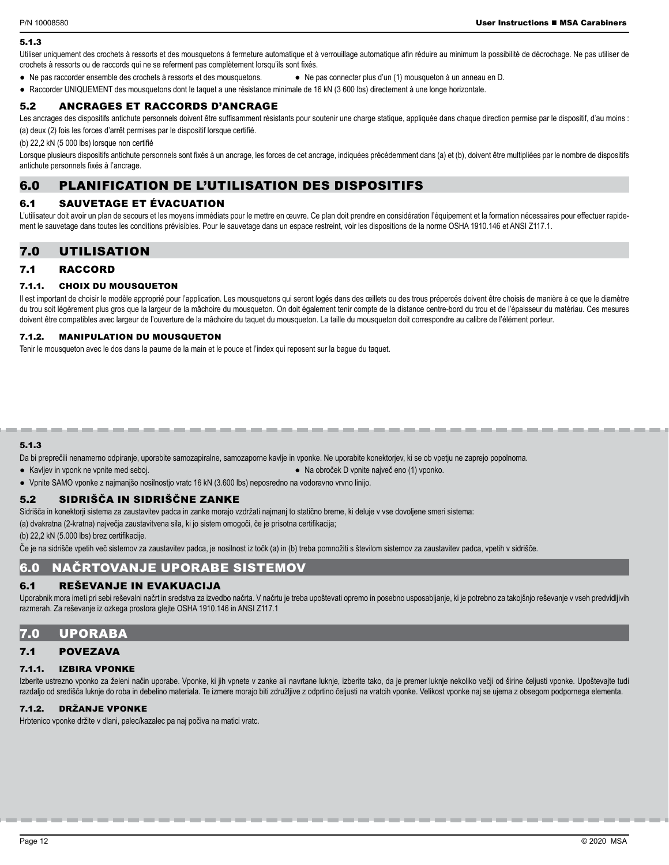#### 5.1.3

Utiliser uniquement des crochets à ressorts et des mousquetons à fermeture automatique et à verrouillage automatique afin réduire au minimum la possibilité de décrochage. Ne pas utiliser de crochets à ressorts ou de raccords qui ne se referment pas complètement lorsqu'ils sont fixés.

- **●** Ne pas raccorder ensemble des crochets à ressorts et des mousquetons. **●** Ne pas connecter plus d'un (1) mousqueton à un anneau en D.
- **●** Raccorder UNIQUEMENT des mousquetons dont le taquet a une résistance minimale de 16 kN (3 600 lbs) directement à une longe horizontale.

#### 5.2 ANCRAGES ET RACCORDS D'ANCRAGE

Les ancrages des dispositifs antichute personnels doivent être suffisamment résistants pour soutenir une charge statique, appliquée dans chaque direction permise par le dispositif, d'au moins : (a) deux (2) fois les forces d'arrêt permises par le dispositif lorsque certifié.

(b) 22,2 kN (5 000 lbs) lorsque non certifié

Lorsque plusieurs dispositifs antichute personnels sont fixés à un ancrage, les forces de cet ancrage, indiquées précédemment dans (a) et (b), doivent être multipliées par le nombre de dispositifs antichute personnels fixés à l'ancrage.

# 6.0 PLANIFICATION DE L'UTILISATION DES DISPOSITIFS

# 6.1 SAUVETAGE ET ÉVACUATION

L'utilisateur doit avoir un plan de secours et les moyens immédiats pour le mettre en œuvre. Ce plan doit prendre en considération l'équipement et la formation nécessaires pour effectuer rapidement le sauvetage dans toutes les conditions prévisibles. Pour le sauvetage dans un espace restreint, voir les dispositions de la norme OSHA 1910.146 et ANSI Z117.1.

# 7.0 UTILISATION

#### 7.1 RACCORD

#### 7.1.1. CHOIX DU MOUSQUETON

Il est important de choisir le modèle approprié pour l'application. Les mousquetons qui seront logés dans des œillets ou des trous prépercés doivent être choisis de manière à ce que le diamètre du trou soit légèrement plus gros que la largeur de la mâchoire du mousqueton. On doit également tenir compte de la distance centre-bord du trou et de l'épaisseur du matériau. Ces mesures doivent être compatibles avec largeur de l'ouverture de la mâchoire du taquet du mousqueton doit comespondre au calibre de l'élément porteur.

# 7.1.2. MANIPULATION DU MOUSQUETON

Tenir le mousqueton avec le dos dans la paume de la main et le pouce et l'index qui reposent sur la bague du taquet.

# 5.1.3

Da bi preprečili nenamerno odpiranje, uporabite samozapiralne, samozaporne kavlje in vponke. Ne uporabite konektorjev, ki se ob vpetju ne zaprejo popolnoma.

----------------------------

- Kavljev in vponk ne vpnite med seboj. **●** Na obroček D vpnite največ eno (1) vponko.
- **●** Vpnite SAMO vponke z najmanjšo nosilnostjo vratc 16 kN (3.600 lbs) neposredno na vodoravno vrvno linijo.

# 5.2 SIDRIŠČA IN SIDRIŠČNE ZANKE

Sidrišča in konektorji sistema za zaustavitev padca in zanke morajo vzdržati najmanj to statično breme, ki deluje v vse dovoljene smeri sistema:

(a) dvakratna (2-kratna) največja zaustavitvena sila, ki jo sistem omogoči, če je prisotna certifikacija;

(b) 22,2 kN (5.000 lbs) brez certifikacije.

Če je na sidrišče vpetih več sistemov za zaustavitev padca, je nosilnost iz točk (a) in (b) treba pomnožiti s številom sistemov za zaustavitev padca, vpetih v sidrišče.

# 6.0 NAČRTOVANJE UPORABE SISTEMOV

# 6.1 REŠEVANJE IN EVAKUACIJA

Uporabnik mora imeti pri sebi reševalni načrt in sredstva za izvedbo načrta. V načrtu je treba upoštevati opremo in posebno usposabljanje, ki je potrebno za takojšnjo reševanje v vseh predvidljivih razmerah. Za reševanje iz ozkega prostora glejte OSHA 1910.146 in ANSI Z117.1

# 7.0 UPORABA

#### 7.1 POVEZAVA

#### 7.1.1. IZBIRA VPONKE

Izberite ustrezno vponko za želeni način uporabe. Vponke, ki jih vpnete v zanke ali navrtane luknje, izberite tako, da je premer luknje nekoliko večji od širine čeljusti vponke. Upoštevajte tudi razdaljo od središča luknje do roba in debelino materiala. Te izmere morajo biti združljive z odprtino čeljusti na vratcih vponke. Velikost vponke naj se ujema z obsegom podpornega elementa.

#### 7.1.2. DRŽANJE VPONKE

Hrbtenico vponke držite v dlani, palec/kazalec pa naj počiva na matici vratc.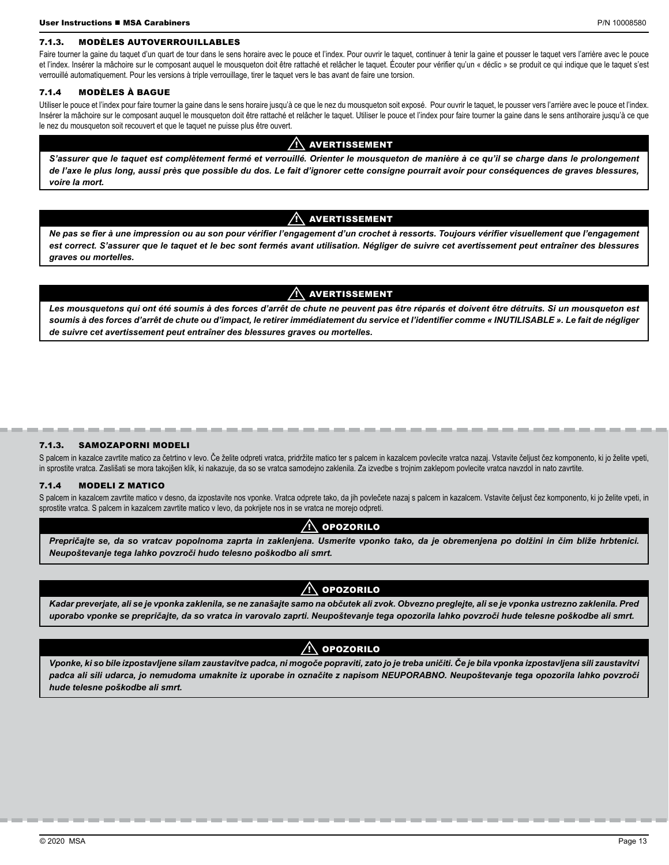#### 7.1.3. MODÈLES AUTOVERROUILLABLES

Faire tourner la gaine du taquet d'un quart de tour dans le sens horaire avec le pouce et l'index. Pour ouvrir le taquet, continuer à tenir la gaine et pousser le taquet vers l'arrière avec le pouce et l'index. Insérer la mâchoire sur le composant auquel le mousqueton doit être rattaché et relâcher le taquet. Écouter pour vérifier qu'un « déclic » se produit ce qui indique que le taquet s'est verrouillé automatiquement. Pour les versions à triple verrouillage, tirer le taquet vers le bas avant de faire une torsion.

#### 7.1.4 MODÈLES À BAGUE

Utiliser le pouce et l'index pour faire tourner la gaine dans le sens horaire jusqu'à ce que le nez du mousqueton soit exposé. Pour ouvrir le taquet, le pousser vers l'arrière avec le pouce et l'index. Insérer la mâchoire sur le composant auquel le mousqueton doit être rattaché et relâcher le taquet. Utiliser le pouce et l'index pour faire tourner la gaine dans le sens antihoraire jusqu'à ce que le nez du mousqueton soit recouvert et que le taquet ne puisse plus être ouvert.

#### $\bigwedge$  avertissement

*S'assurer que le taquet est complètement fermé et verrouillé. Orienter le mousqueton de manière à ce qu'il se charge dans le prolongement de l'axe le plus long, aussi près que possible du dos. Le fait d'ignorer cette consigne pourrait avoir pour conséquences de graves blessures, voire la mort.*

#### $\bigwedge$  avertissement

*Ne pas se fier à une impression ou au son pour vérifier l'engagement d'un crochet à ressorts. Toujours vérifier visuellement que l'engagement*  est correct. S'assurer que le taquet et le bec sont fermés avant utilisation. Négliger de suivre cet avertissement peut entraîner des blessures *graves ou mortelles.*

# $\wedge$  avertissement

*Les mousquetons qui ont été soumis à des forces d'arrêt de chute ne peuvent pas être réparés et doivent être détruits. Si un mousqueton est soumis à des forces d'arrêt de chute ou d'impact, le retirer immédiatement du service et l'identifier comme « INUTILISABLE ». Le fait de négliger de suivre cet avertissement peut entraîner des blessures graves ou mortelles.*

#### 7.1.3. SAMOZAPORNI MODELI

S palcem in kazalce zavrtite matico za četrtino v levo. Če želite odpreti vratca, pridržite matico ter s palcem in kazalcem povlecite vratca nazaj. Vstavite čeljust čez komponento, ki jo želite vpeti, in sprostite vratca. Zaslišati se mora takojšen klik, ki nakazuje, da so se vratca samodejno zaklenila. Za izvedbe s trojnim zaklepom povlecite vratca navzdol in nato zavrtite.

#### 7.1.4 MODELI Z MATICO

S palcem in kazalcem zavrtite matico v desno, da izpostavite nos vponke. Vratca odprete tako, da jih povlečete nazaj s palcem in kazalcem. Vstavite čeljust čez komponento, ki jo želite vpeti, in sprostite vratca. S palcem in kazalcem zavrtite matico v levo, da pokrijete nos in se vratca ne morejo odpreti.

# $/ \! \wedge$  opozorilo

*Prepričajte se, da so vratcav popolnoma zaprta in zaklenjena. Usmerite vponko tako, da je obremenjena po dolžini in čim bliže hrbtenici. Neupoštevanje tega lahko povzroči hudo telesno poškodbo ali smrt.*

# $\Lambda$  opozorilo

*Kadar preverjate, ali se je vponka zaklenila, se ne zanašajte samo na občutek ali zvok. Obvezno preglejte, ali se je vponka ustrezno zaklenila. Pred uporabo vponke se prepričajte, da so vratca in varovalo zaprti. Neupoštevanje tega opozorila lahko povzroči hude telesne poškodbe ali smrt.*

# $\bigwedge$  opozorilo

*Vponke, ki so bile izpostavljene silam zaustavitve padca, ni mogoče popraviti, zato jo je treba uničiti. Če je bila vponka izpostavljena sili zaustavitvi padca ali sili udarca, jo nemudoma umaknite iz uporabe in označite z napisom NEUPORABNO. Neupoštevanje tega opozorila lahko povzroči hude telesne poškodbe ali smrt.*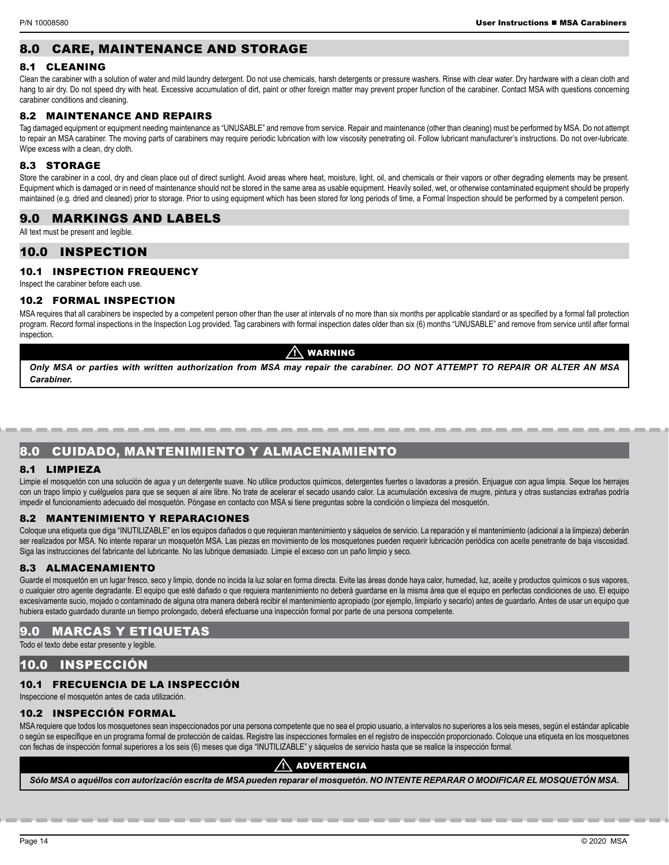# 8.0 CARE, MAINTENANCE AND STORAGE

# 8.1 CLEANING

Clean the carabiner with a solution of water and mild laundry detergent. Do not use chemicals, harsh detergents or pressure washers. Rinse with clear water. Dry hardware with a clean cloth and hang to air dry. Do not speed dry with heat. Excessive accumulation of dirt, paint or other foreign matter may prevent proper function of the carabiner. Contact MSA with questions concerning carabiner conditions and cleaning.

# 8.2 MAINTENANCE AND REPAIRS

Tag damaged equipment or equipment needing maintenance as "UNUSABLE" and remove from service. Repair and maintenance (other than cleaning) must be performed by MSA. Do not attempt to repair an MSA carabiner. The moving parts of carabiners may require periodic lubrication with low viscosity penetrating oil. Follow lubricant manufacturer's instructions. Do not over-lubricate. Wipe excess with a clean, dry cloth.

# 8.3 STORAGE

Store the carabiner in a cool, dry and clean place out of direct sunlight. Avoid areas where heat, moisture, light, oil, and chemicals or their vapors or other degrading elements may be present. Equipment which is damaged or in need of maintenance should not be stored in the same area as usable equipment. Heavily soiled, wet, or otherwise contaminated equipment should be properly maintained (e.g. dried and cleaned) prior to storage. Prior to using equipment which has been stored for long periods of time, a Formal Inspection should be performed by a competent person.

# 9.0 MARKINGS AND LABELS

All text must be present and legible.

# 10.0 INSPECTION

# 10.1 INSPECTION FREQUENCY

Inspect the carabiner before each use.

#### 10.2 FORMAL INSPECTION

MSA requires that all carabiners be inspected by a competent person other than the user at intervals of no more than six months per applicable standard or as specified by a formal fall protection program. Record formal inspections in the Inspection Log provided. Tag carabiners with formal inspection dates older than six (6) months "UNUSABLE" and remove from service until after formal inspection

# **WARNING**

*Only MSA or parties with written authorization from MSA may repair the carabiner. DO NOT ATTEMPT TO REPAIR OR ALTER AN MSA Carabiner.*

# 8.0 CUIDADO, MANTENIMIENTO Y ALMACENAMIENTO

# 8.1 LIMPIEZA

Limpie el mosquetón con una solución de agua y un detergente suave. No utilice productos químicos, detergentes fuertes o lavadoras a presión. Enjuague con agua limpia. Seque los herrajes con un trapo limpio y cuélguelos para que se sequen al aire libre. No trate de acelerar el secado usando calor. La acumulación excesiva de mugre, pintura y otras sustancias extrañas podría impedir el funcionamiento adecuado del mosquetón. Póngase en contacto con MSA si tiene preguntas sobre la condición o limpieza del mosquetón.

#### 8.2 MANTENIMIENTO Y REPARACIONES

Coloque una etiqueta que diga "INUTILIZABLE" en los equipos dañados o que requieran mantenimiento y sáquelos de servicio. La reparación y el mantenimiento (adicional a la limpieza) deberán ser realizados por MSA. No intente reparar un mosquetón MSA. Las piezas en movimiento de los mosquetones pueden requerir lubricación periódica con aceite penetrante de baja viscosidad. Siga las instrucciones del fabricante del lubricante. No las lubrique demasiado. Limpie el exceso con un paño limpio y seco.

# 8.3 ALMACENAMIENTO

Guarde el mosquetón en un lugar fresco, seco y limpio, donde no incida la luz solar en forma directa. Evite las áreas donde haya calor, humedad, luz, aceite y productos químicos o sus vapores, o cualquier otro agente degradante. El equipo que esté dañado o que requiera mantenimiento no deberá guardarse en la misma área que el equipo en perfectas condiciones de uso. El equipo excesivamente sucio, mojado o contaminado de alguna otra manera deberá recibir el mantenimiento apropiado (por ejemplo, limpiarlo y secarlo) antes de guardarlo. Antes de usar un equipo que hubiera estado guardado durante un tiempo prolongado, deberá efectuarse una inspección formal por parte de una persona competente.

# 9.0 MARCAS Y ETIQUETAS

Todo el texto debe estar presente y legible.

# 10.0 INSPECCIÓN

# 10.1 FRECUENCIA DE LA INSPECCIÓN

Inspeccione el mosquetón antes de cada utilización.

# 10.2 INSPECCIÓN FORMAL

MSA requiere que todos los mosquetones sean inspeccionados por una persona competente que no sea el propio usuario, a intervalos no superiores a los seis meses, según el estándar aplicable o según se especifique en un programa formal de protección de caídas. Registre las inspecciones formales en el registro de inspección proporcionado. Coloque una etiqueta en los mosquetones con fechas de inspección formal superiores a los seis (6) meses que diga "INUTILIZABLE" y sáquelos de servicio hasta que se realice la inspección formal.

# **ADVERTENCIA**

*Sólo MSA o aquéllos con autorización escrita de MSA pueden reparar el mosquetón. NO INTENTE REPARAR O MODIFICAR EL MOSQUETÓN MSA.*

-------------------------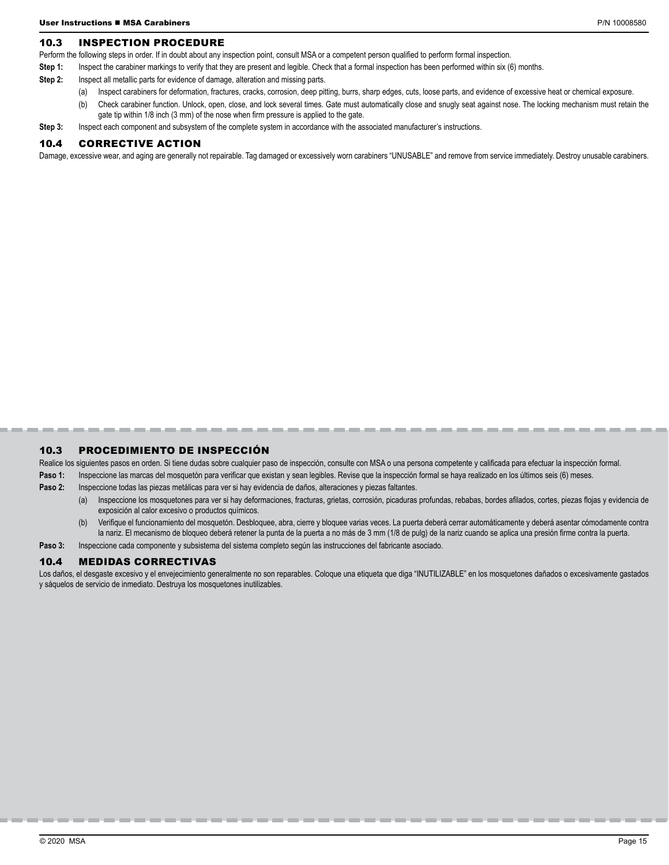# 10.3 INSPECTION PROCEDURE

Perform the following steps in order. If in doubt about any inspection point, consult MSA or a competent person qualified to perform formal inspection.

- Step 1: Inspect the carabiner markings to verify that they are present and legible. Check that a formal inspection has been performed within six (6) months.
- **Step 2:** Inspect all metallic parts for evidence of damage, alteration and missing parts.
	- Inspect carabiners for deformation, fractures, cracks, corrosion, deep pitting, burrs, sharp edges, cuts, loose parts, and evidence of excessive heat or chemical exposure.
	- (b) Check carabiner function. Unlock, open, close, and lock several times. Gate must automatically close and snugly seat against nose. The locking mechanism must retain the gate tip within 1/8 inch (3 mm) of the nose when firm pressure is applied to the gate.
- **Step 3:** Inspect each component and subsystem of the complete system in accordance with the associated manufacturer's instructions.

#### 10.4 CORRECTIVE ACTION

Damage, excessive wear, and aging are generally not repairable. Tag damaged or excessively worn carabiners "UNUSABLE" and remove from service immediately. Destroy unusable carabiners.

# 10.3 PROCEDIMIENTO DE INSPECCIÓN

Realice los siguientes pasos en orden. Si tiene dudas sobre cualquier paso de inspección, consulte con MSA o una persona competente y calificada para efectuar la inspección formal.

- Paso 1: Inspeccione las marcas del mosquetón para verificar que existan y sean legibles. Revise que la inspección formal se haya realizado en los últimos seis (6) meses.
- **Paso 2:** Inspeccione todas las piezas metálicas para ver si hay evidencia de daños, alteraciones y piezas faltantes.
	- (a) Inspeccione los mosquetones para ver si hay deformaciones, fracturas, grietas, corrosión, picaduras profundas, rebabas, bordes afilados, cortes, piezas flojas y evidencia de exposición al calor excesivo o productos químicos.
	- (b) Verifique el funcionamiento del mosquetón. Desbloquee, abra, cierre y bloquee varias veces. La puerta deberá cerrar automáticamente y deberá asentar cómodamente contra la nariz. El mecanismo de bloqueo deberá retener la punta de la puerta a no más de 3 mm (1/8 de pulg) de la nariz cuando se aplica una presión firme contra la puerta.
- Paso 3: Inspeccione cada componente y subsistema del sistema completo según las instrucciones del fabricante asociado.

#### 10.4 MEDIDAS CORRECTIVAS

Los daños, el desgaste excesivo y el envejecimiento generalmente no son reparables. Coloque una etiqueta que diga "INUTILIZABLE" en los mosquetones dañados o excesivamente gastados y sáquelos de servicio de inmediato. Destruya los mosquetones inutilizables.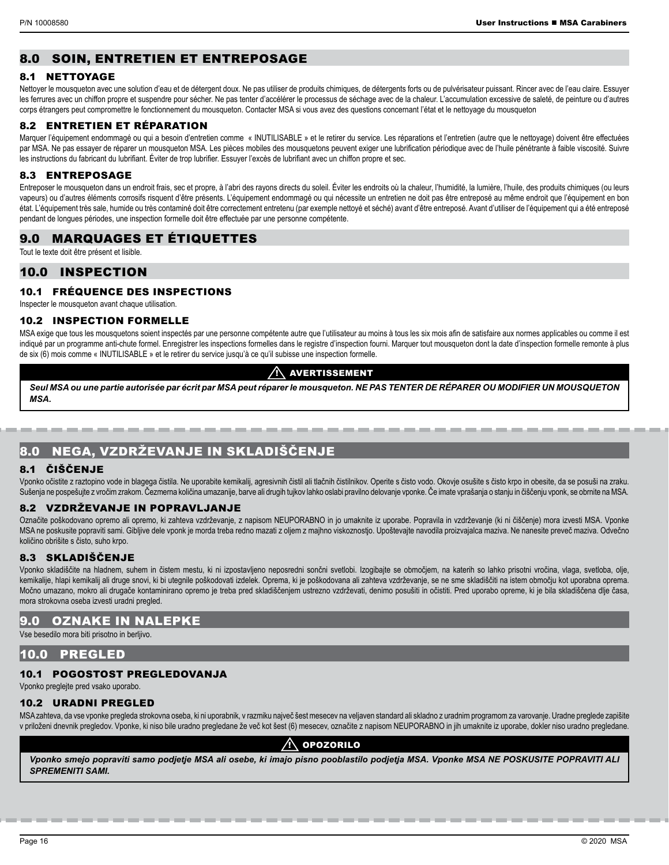# 8.0 SOIN, ENTRETIEN ET ENTREPOSAGE

#### 8.1 NETTOYAGE

Nettoyer le mousqueton avec une solution d'eau et de détergent doux. Ne pas utiliser de produits chimiques, de détergents forts ou de pulvérisateur puissant. Rincer avec de l'eau claire. Essuyer les ferrures avec un chiffon propre et suspendre pour sécher. Ne pas tenter d'accélérer le processus de séchage avec de la chaleur. L'accumulation excessive de saleté, de peinture ou d'autres corps étrangers peut compromettre le fonctionnement du mousqueton. Contacter MSA si vous avez des questions concernant l'état et le nettoyage du mousqueton

# 8.2 ENTRETIEN ET RÉPARATION

Marquer l'équipement endommagé ou qui a besoin d'entretien comme « INUTILISABLE » et le retirer du service. Les réparations et l'entretien (autre que le nettoyage) doivent être effectuées par MSA. Ne pas essayer de réparer un mousqueton MSA. Les pièces mobiles des mousquetons peuvent exiger une lubrification périodique avec de l'huile pénétrante à faible viscosité. Suivre les instructions du fabricant du lubrifiant. Éviter de trop lubrifier. Essuyer l'excès de lubrifiant avec un chiffon propre et sec.

#### 8.3 ENTREPOSAGE

Entreposer le mousqueton dans un endroit frais, sec et propre, à l'abri des rayons directs du soleil. Éviter les endroits où la chaleur, l'humidité, la lumière, l'huile, des produits chimiques (ou leurs vapeurs) ou d'autres éléments corrosifs risquent d'être présents. L'équipement endommagé ou qui nécessite un entretien ne doit pas être entreposé au même endroit que l'équipement en bon état. L'équipement très sale, humide ou très contaminé doit être correctement entretenu (par exemple nettoyé et séché) avant d'être entreposé. Avant d'utiliser de l'équipement qui a été entreposé pendant de longues périodes, une inspection formelle doit être effectuée par une personne compétente.

# 9.0 MARQUAGES ET ÉTIQUETTES

Tout le texte doit être présent et lisible.

# 10.0 INSPECTION

# 10.1 FRÉQUENCE DES INSPECTIONS

Inspecter le mousqueton avant chaque utilisation.

#### 10.2 INSPECTION FORMELLE

MSA exige que tous les mousquetons soient inspectés par une personne compétente autre que l'utilisateur au moins à tous les six mois afin de satisfaire aux normes applicables ou comme il est indiqué par un programme anti-chute formel. Enregistrer les inspections formelles dans le registre d'inspection fourni. Marquer tout mousqueton dont la date d'inspection formelle remonte à plus de six (6) mois comme « INUTILISABLE » et le retirer du service jusqu'à ce qu'il subisse une inspection formelle.

# $\wedge$  avertissement

*Seul MSA ou une partie autorisée par écrit par MSA peut réparer le mousqueton. NE PAS TENTER DE RÉPARER OU MODIFIER UN MOUSQUETON MSA.*

# 8.0 NEGA, VZDRŽEVANJE IN SKLADIŠČENJE

# 8.1 ČIŠČENJE

Vponko očistite z raztopino vode in blagega čistila. Ne uporabite kemikalij, agresivnih čistil ali tlačnih čistilnikov. Operite s čisto vodo. Okovje osušite s čisto krpo in obesite, da se posuši na zraku. Sušenja ne pospešujte z vročim zrakom. Čezmerna količina umazanije, barve ali drugih tujkov lahko oslabi pravilno delovanje vponke. Če imate vprašanja o stanju in čiščenju vponk, se obrnite na MSA.

# 8.2 VZDRŽEVANJE IN POPRAVLJANJE

Označite poškodovano opremo ali opremo, ki zahteva vzdrževanje, z napisom NEUPORABNO in jo umaknite iz uporabe. Popravila in vzdrževanje (ki ni čiščenje) mora izvesti MSA. Vponke MSA ne poskusite popraviti sami. Gibliive dele vponk je morda treba redno mazati z oljem z majhno viskoznostio. Upoštevajte navodila proizvajalca maziva. Ne nanesite preveč maziva. Odvečno količino obrišite s čisto, suho krpo.

# 8.3 SKLADIŠČENJE

Vponko skladiščite na hladnem, suhem in čistem mestu, ki ni izpostavljeno neposredni sončni svetlobi. Izogibajte se območjem, na katerih so lahko prisotni vročina, vlaga, svetloba, olje, kemikalije, hlapi kemikalij ali druge snovi, ki bi utegnile poškodovati izdelek. Oprema, ki je poškodovana ali zahteva vzdrževanje, se ne sme skladiščiti na istem območju kot uporabna oprema. Močno umazano, mokro ali drugače kontaminirano opremo je treba pred skladiščenjem ustrezno vzdrževati, denimo posušiti in očistiti. Pred uporabo opreme, ki je bila skladiščena dlje časa, mora strokovna oseba izvesti uradni pregled.

# 9.0 OZNAKE IN NALEPKE

Vse besedilo mora biti prisotno in berljivo.

# 10.0 PREGLED

# 10.1 POGOSTOST PREGLEDOVANJA

Vponko preglejte pred vsako uporabo.

# 10.2 URADNI PREGLED

MSA zahteva, da vse vponke pregleda strokovna oseba, ki ni uporabnik, v razmiku največ šest mesecev na veljaven standard ali skladno z uradnim programom za varovanje. Uradne preglede zapišite v priloženi dnevnik pregledov. Vponke, ki niso bile uradno pregledane že več kot šest (6) mesecev, označite z napisom NEUPORABNO in jih umaknite iz uporabe, dokler niso uradno pregledane.

# $\Lambda$  opozorilo

*Vponko smejo popraviti samo podjetje MSA ali osebe, ki imajo pisno pooblastilo podjetja MSA. Vponke MSA NE POSKUSITE POPRAVITI ALI SPREMENITI SAMI.*

-----------------------------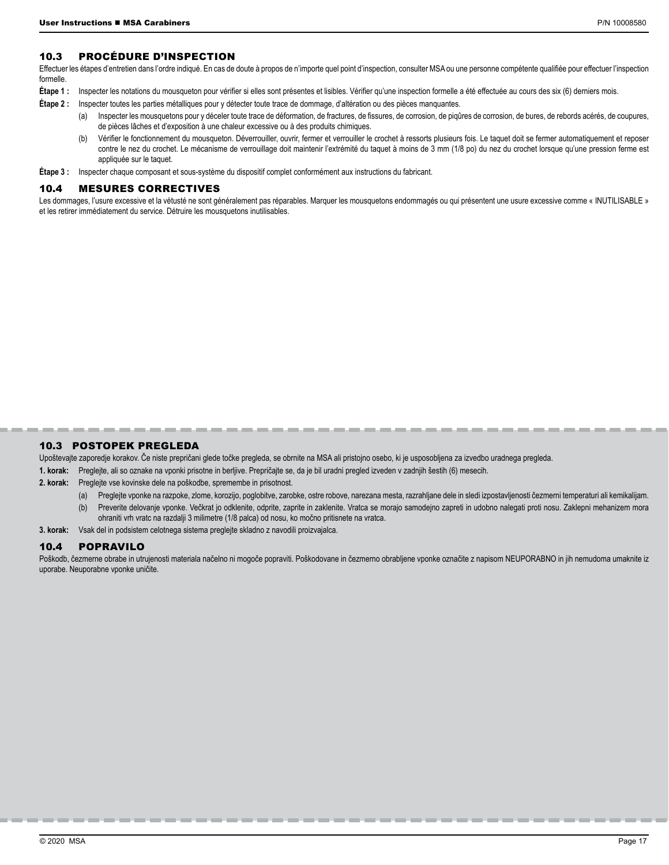#### 10.3 PROCÉDURE D'INSPECTION

Effectuer les étapes d'entretien dans l'ordre indiqué. En cas de doute à propos de n'importe quel point d'inspection, consulter MSA ou une personne compétente qualifiée pour effectuer l'inspection formelle.

- **Étape 1 :** Inspecter les notations du mousqueton pour vérifier si elles sont présentes et lisibles. Vérifier qu'une inspection formelle a été effectuée au cours des six (6) derniers mois.
- **Étape 2 :** Inspecter toutes les parties métalliques pour y détecter toute trace de dommage, d'altération ou des pièces manquantes.
	- (a) Inspecter les mousquetons pour y déceler toute trace de déformation, de fractures, de fissures, de corrosion, de piqûres de corrosion, de bures, de rebords acérés, de coupures, de pièces lâches et d'exposition à une chaleur excessive ou à des produits chimiques.
	- (b) Vérifier le fonctionnement du mousqueton. Déverrouiller, ouvrir, fermer et verrouiller le crochet à ressorts plusieurs fois. Le taquet doit se fermer automatiquement et reposer contre le nez du crochet. Le mécanisme de verrouillage doit maintenir l'extrémité du taquet à moins de 3 mm (1/8 po) du nez du crochet lorsque qu'une pression ferme est appliquée sur le taquet.
- **Étape 3 :** Inspecter chaque composant et sous-système du dispositif complet conformément aux instructions du fabricant.

#### 10.4 MESURES CORRECTIVES

Les dommages, l'usure excessive et la vétusté ne sont généralement pas réparables. Marquer les mousquetons endommagés ou qui présentent une usure excessive comme « INUTILISABLE » et les retirer immédiatement du service. Détruire les mousquetons inutilisables.

#### 10.3 POSTOPEK PREGLEDA

Upoštevajte zaporedje korakov. Če niste prepričani glede točke pregleda, se obrnite na MSA ali pristojno osebo, ki je usposobljena za izvedbo uradnega pregleda.

- **1. korak:** Preglejte, ali so oznake na vponki prisotne in berljive. Prepričajte se, da je bil uradni pregled izveden v zadnjih šestih (6) mesecih.
- **2. korak:** Preglejte vse kovinske dele na poškodbe, spremembe in prisotnost.
	- (a) Preglejte vponke na razpoke, zlome, korozijo, poglobitve, zarobke, ostre robove, narezana mesta, razrahljane dele in sledi izpostavljenosti čezmerni temperaturi ali kemikalijam.

--------------------

- (b) Preverite delovanje vponke. Večkrat jo odklenite, odprite, zaprite in zaklenite. Vratca se morajo samodejno zapreti in udobno nalegati proti nosu. Zaklepni mehanizem mora ohraniti vrh vratc na razdalji 3 milimetre (1/8 palca) od nosu, ko močno pritisnete na vratca.
- **3. korak:** Vsak del in podsistem celotnega sistema preglejte skladno z navodili proizvajalca.

#### 10.4 POPRAVILO

Poškodb, čezmerne obrabe in utrujenosti materiala načelno ni mogoče popraviti. Poškodovane in čezmerno obrabljene vponke označite z napisom NEUPORABNO in jih nemudoma umaknite iz uporabe. Neuporabne vponke uničite.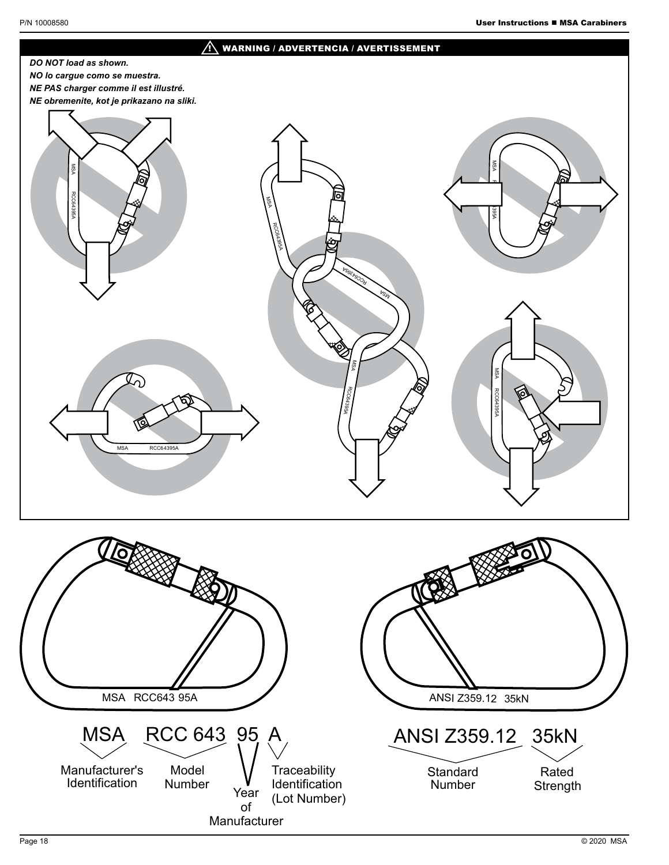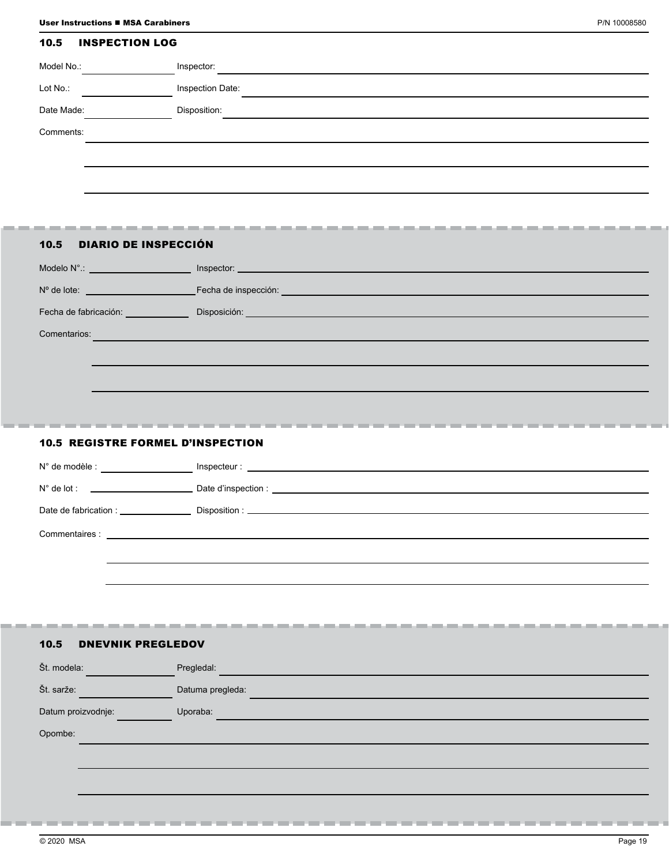# 10.5 INSPECTION LOG

| Model No.: |  | Inspector:       |
|------------|--|------------------|
| Lot No.:   |  | Inspection Date: |
| Date Made: |  | Disposition:     |
| Comments:  |  |                  |
|            |  |                  |
|            |  |                  |

# 10.5 DIARIO DE INSPECCIÓN

. .

| Modelo N° : in the state of the state of the state of the state of the state of the state of the state of the |                                                                                                                       |
|---------------------------------------------------------------------------------------------------------------|-----------------------------------------------------------------------------------------------------------------------|
| $No$ de lote:                                                                                                 |                                                                                                                       |
| Fecha de fabricación:                                                                                         | <b>Disposición: Alexandria de la contrata de la contrata de la contrata de la contrata de la contrata de la contr</b> |
| Comentarios:                                                                                                  |                                                                                                                       |
|                                                                                                               |                                                                                                                       |
|                                                                                                               |                                                                                                                       |

# 10.5 REGISTRE FORMEL D'INSPECTION

| $N^{\circ}$ de modèle : $\qquad \qquad \qquad$                                   |  |
|----------------------------------------------------------------------------------|--|
| $N^{\circ}$ de lot :<br><u> 1989 - Johann Stein, mars an deus an deus Angels</u> |  |
| Date de fabrication :                                                            |  |
|                                                                                  |  |
|                                                                                  |  |
|                                                                                  |  |

# 10.5 DNEVNIK PREGLEDOV

------

| Št. modela:        | Pregledal:       |
|--------------------|------------------|
| Št. sarže:         | Datuma pregleda: |
| Datum proizvodnje: | Uporaba:         |
| Opombe:            |                  |
|                    |                  |
|                    |                  |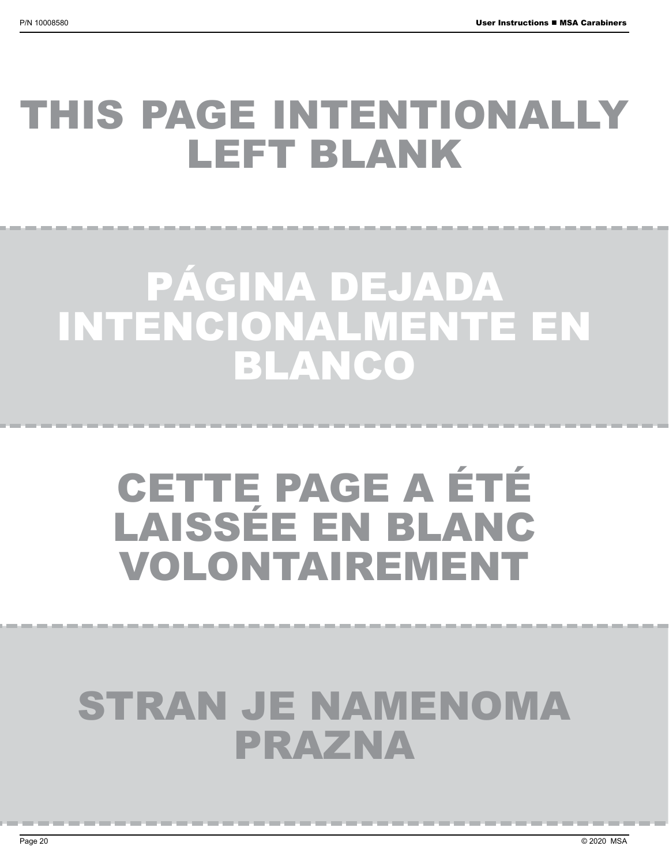# THIS PAGE INTENTIONALLY LEFT BLANK

# PÁGINA DEJADA INTENCIONALMENTE EN BLANCO

# CETTE PAGE A ÉTÉ LAISSÉE EN BLANC VOLONTAIREMENT

# STRAN JE NAMENOMA PRAZNA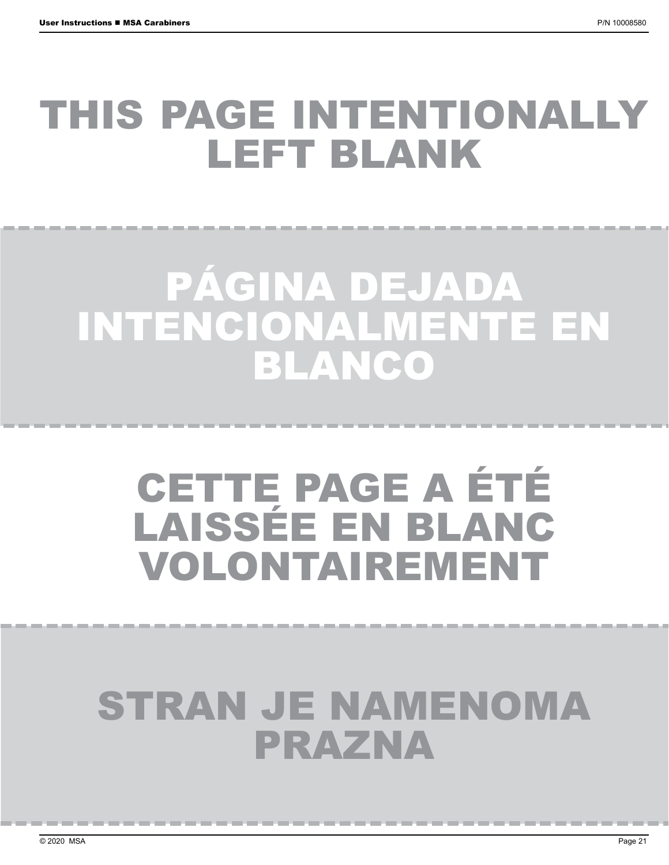# THIS PAGE INTENTIONALLY LEFT BLANK

# PÁGINA DEJADA INTENCIONALMENTE EN BLANCO

# CETTE PAGE A ÉTÉ LAISSÉE EN BLANC VOLONTAIREMENT

# STRAN JE NAMENOMA PRAZNA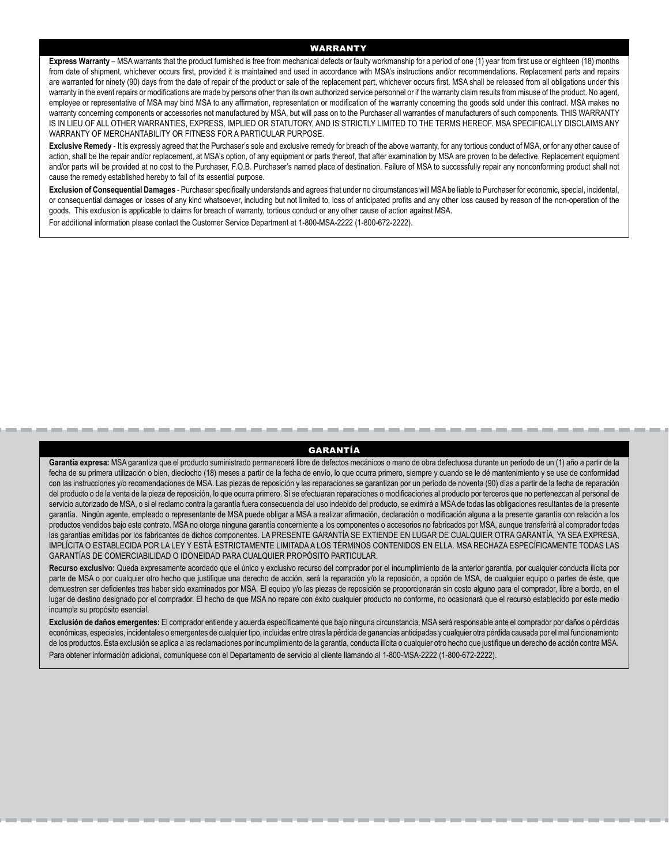#### WARRANTY

**Express Warranty** – MSA warrants that the product furnished is free from mechanical defects or faulty workmanship for a period of one (1) year from first use or eighteen (18) months from date of shipment, whichever occurs first, provided it is maintained and used in accordance with MSA's instructions and/or recommendations. Replacement parts and repairs are warranted for ninety (90) days from the date of repair of the product or sale of the replacement part, whichever occurs first. MSA shall be released from all obligations under this warranty in the event repairs or modifications are made by persons other than its own authorized service personnel or if the warranty claim results from misuse of the product. No agent, employee or representative of MSA may bind MSA to any affirmation, representation or modification of the warranty concerning the goods sold under this contract. MSA makes no warranty concerning components or accessories not manufactured by MSA, but will pass on to the Purchaser all warranties of manufacturers of such components. THIS WARRANTY IS IN LIEU OF ALL OTHER WARRANTIES, EXPRESS, IMPLIED OR STATUTORY, AND IS STRICTLY LIMITED TO THE TERMS HEREOF. MSA SPECIFICALLY DISCLAIMS ANY WARRANTY OF MERCHANTABILITY OR FITNESS FOR A PARTICULAR PURPOSE.

Exclusive Remedy - It is expressly agreed that the Purchaser's sole and exclusive remedy for breach of the above warranty, for any tortious conduct of MSA, or for any other cause of action, shall be the repair and/or replacement, at MSA's option, of any equipment or parts thereof, that after examination by MSA are proven to be defective. Replacement equipment and/or parts will be provided at no cost to the Purchaser, F.O.B. Purchaser's named place of destination. Failure of MSA to successfully repair any nonconforming product shall not cause the remedy established hereby to fail of its essential purpose.

**Exclusion of Consequential Damages** - Purchaser specifically understands and agrees that under no circumstances will MSA be liable to Purchaser for economic, special, incidental, or consequential damages or losses of any kind whatsoever, including but not limited to, loss of anticipated profits and any other loss caused by reason of the non-operation of the goods. This exclusion is applicable to claims for breach of warranty, tortious conduct or any other cause of action against MSA.

For additional information please contact the Customer Service Department at 1-800-MSA-2222 (1-800-672-2222).

#### GARANTÍA

Garantía expresa: MSA garantiza que el producto suministrado permanecerá libre de defectos mecánicos o mano de obra defectuosa durante un período de un (1) año a partir de la fecha de su primera utilización o bien, dieciocho (18) meses a partir de la fecha de envío, lo que ocurra primero, siempre y cuando se le dé mantenimiento y se use de conformidad con las instrucciones y/o recomendaciones de MSA. Las piezas de reposición y las reparaciones se garantizan por un período de noventa (90) días a partir de la fecha de reparación del producto o de la venta de la pieza de reposición, lo que ocurra primero. Si se efectuaran reparaciones o modificaciones al producto por terceros que no pertenezcan al personal de servicio autorizado de MSA, o si el reclamo contra la garantía fuera consecuencia del uso indebido del producto, se eximirá a MSA de todas las obligaciones resultantes de la presente garantía. Ningún agente, empleado o representante de MSA puede obligar a MSA a realizar afirmación, declaración o modificación alguna a la presente garantía con relación a los productos vendidos bajo este contrato. MSA no otorga ninguna garantía concerniente a los componentes o accesorios no fabricados por MSA, aunque transferirá al comprador todas las garantías emitidas por los fabricantes de dichos componentes. LA PRESENTE GARANTÍA SE EXTIENDE EN LUGAR DE CUALQUIER OTRA GARANTÍA, YA SEA EXPRESA, IMPLÍCITA O ESTABLECIDA POR LA LEY Y ESTÁ ESTRICTAMENTE LIMITADA A LOS TÉRMINOS CONTENIDOS EN ELLA. MSA RECHAZA ESPECÍFICAMENTE TODAS LAS GARANTÍAS DE COMERCIABILIDAD O IDONEIDAD PARA CUALQUIER PROPÓSITO PARTICULAR.

Recurso exclusivo: Queda expresamente acordado que el único y exclusivo recurso del comprador por el incumplimiento de la anterior garantía, por cualquier conducta ilícita por parte de MSA o por cualquier otro hecho que justifique una derecho de acción, será la reparación y/o la reposición, a opción de MSA, de cualquier equipo o partes de éste, que demuestren ser deficientes tras haber sido examinados por MSA. El equipo y/o las piezas de reposición se proporcionarán sin costo alguno para el comprador, libre a bordo, en el lugar de destino designado por el comprador. El hecho de que MSA no repare con éxito cualquier producto no conforme, no ocasionará que el recurso establecido por este medio incumpla su propósito esencial.

**Exclusión de daños emergentes:** El comprador entiende y acuerda específicamente que bajo ninguna circunstancia, MSA será responsable ante el comprador por daños o pérdidas económicas, especiales, incidentales o emergentes de cualquier tipo, incluidas entre otras la pérdida de ganancias anticipadas y cualquier otra pérdida causada por el mal funcionamiento de los productos. Esta exclusión se aplica a las reclamaciones por incumplimiento de la garantía, conducta ilícita o cualquier otro hecho que justifique un derecho de acción contra MSA. Para obtener información adicional, comuníquese con el Departamento de servicio al cliente llamando al 1-800-MSA-2222 (1-800-672-2222).